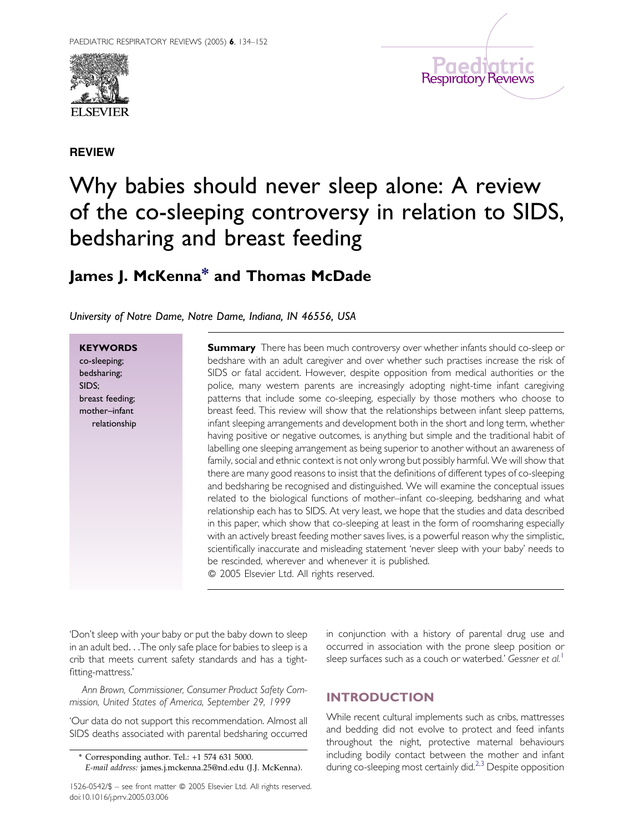







# Why babies should never sleep alone: A review of the co-sleeping controversy in relation to SIDS, bedsharing and breast feeding

# James J. McKenn[a\\*](#page-0-0) and Thomas McDade

University of Notre Dame, Notre Dame, Indiana, IN 46556, USA

**KEYWORDS** co-sleeping; bedsharing; SIDS; breast feeding; mother–infant relationship

**Summary** There has been much controversy over whether infants should co-sleep or bedshare with an adult caregiver and over whether such practises increase the risk of SIDS or fatal accident. However, despite opposition from medical authorities or the police, many western parents are increasingly adopting night-time infant caregiving patterns that include some co-sleeping, especially by those mothers who choose to breast feed. This review will show that the relationships between infant sleep patterns, infant sleeping arrangements and development both in the short and long term, whether having positive or negative outcomes, is anything but simple and the traditional habit of labelling one sleeping arrangement as being superior to another without an awareness of family, social and ethnic context is not only wrong but possibly harmful. We will show that there are many good reasons to insist that the definitions of different types of co-sleeping and bedsharing be recognised and distinguished. We will examine the conceptual issues related to the biological functions of mother–infant co-sleeping, bedsharing and what relationship each has to SIDS. At very least, we hope that the studies and data described in this paper, which show that co-sleeping at least in the form of roomsharing especially with an actively breast feeding mother saves lives, is a powerful reason why the simplistic, scientifically inaccurate and misleading statement 'never sleep with your baby' needs to be rescinded, wherever and whenever it is published.

© 2005 Elsevier Ltd. All rights reserved.

'Don't sleep with your baby or put the baby down to sleep in an adult bed...The only safe place for babies to sleep is a crib that meets current safety standards and has a tightfitting-mattress.'

Ann Brown, Commissioner, Consumer Product Safety Commission, United States of America, September 29, 1999

'Our data do not support this recommendation. Almost all SIDS deaths associated with parental bedsharing occurred

<span id="page-0-0"></span>1526-0542/\$ - see front matter @ 2005 Elsevier Ltd. All rights reserved. doi:10.1016/j.prrv.2005.03.006

in conjunction with a history of parental drug use and occurred in association with the prone sleep position or sleep surfaces such as a couch or waterbed.' Gessner et al.<sup>[1](#page-16-0)</sup>

# INTRODUCTION

While recent cultural implements such as cribs, mattresses and bedding did not evolve to protect and feed infants throughout the night, protective maternal behaviours including bodily contact between the mother and infant during co-sleeping most certainly did.<sup>[2,3](#page-16-0)</sup> Despite opposition

<sup>\*</sup> Corresponding author. Tel.: +1 574 631 5000. E-mail address: james.j.mckenna.25@nd.edu (J.J. McKenna).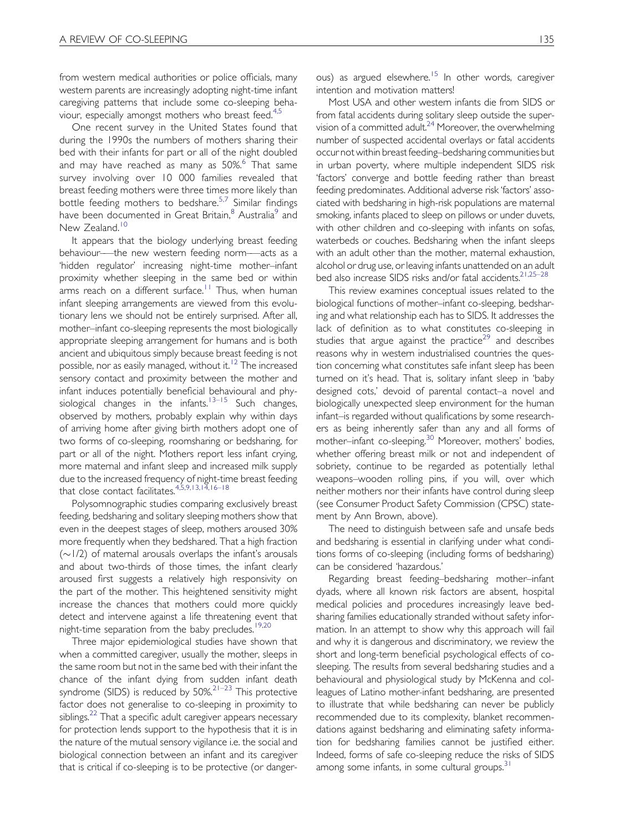from western medical authorities or police officials, many western parents are increasingly adopting night-time infant caregiving patterns that include some co-sleeping beha-viour, especially amongst mothers who breast feed.<sup>[4,5](#page-16-0)</sup>

One recent survey in the United States found that during the 1990s the numbers of mothers sharing their bed with their infants for part or all of the night doubled and may have reached as many as 50%.<sup>[6](#page-16-0)</sup> That same survey involving over 10 000 families revealed that breast feeding mothers were three times more likely than bottle feeding mothers to bedshare.<sup>[5,7](#page-16-0)</sup> Similar findings have been documented in Great Britain,<sup>[8](#page-16-0)</sup> Australia<sup>[9](#page-16-0)</sup> and New Zealand.<sup>[10](#page-16-0)</sup>

It appears that the biology underlying breast feeding behaviour–—the new western feeding norm–—acts as a 'hidden regulator' increasing night-time mother–infant proximity whether sleeping in the same bed or within arms reach on a different surface.<sup>[11](#page-16-0)</sup> Thus, when human infant sleeping arrangements are viewed from this evolutionary lens we should not be entirely surprised. After all, mother–infant co-sleeping represents the most biologically appropriate sleeping arrangement for humans and is both ancient and ubiquitous simply because breast feeding is not possible, nor as easily managed, without it.<sup>[12](#page-16-0)</sup> The increased sensory contact and proximity between the mother and infant induces potentially beneficial behavioural and phy-siological changes in the infants.<sup>[13–15](#page-16-0)</sup> Such changes, observed by mothers, probably explain why within days of arriving home after giving birth mothers adopt one of two forms of co-sleeping, roomsharing or bedsharing, for part or all of the night. Mothers report less infant crying, more maternal and infant sleep and increased milk supply due to the increased frequency of night-time breast feeding that close contact facilitates[.4,5,9,13,14,16–18](#page-16-0)

Polysomnographic studies comparing exclusively breast feeding, bedsharing and solitary sleeping mothers show that even in the deepest stages of sleep, mothers aroused 30% more frequently when they bedshared. That a high fraction  $(\sim 1/2)$  of maternal arousals overlaps the infant's arousals and about two-thirds of those times, the infant clearly aroused first suggests a relatively high responsivity on the part of the mother. This heightened sensitivity might increase the chances that mothers could more quickly detect and intervene against a life threatening event that night-time separation from the baby precludes.<sup>[19,20](#page-16-0)</sup>

Three major epidemiological studies have shown that when a committed caregiver, usually the mother, sleeps in the same room but not in the same bed with their infant the chance of the infant dying from sudden infant death syndrome (SIDS) is reduced by  $50\%$ <sup>21-23</sup> This protective factor does not generalise to co-sleeping in proximity to siblings.<sup>22</sup> That a specific adult caregiver appears necessary for protection lends support to the hypothesis that it is in the nature of the mutual sensory vigilance i.e. the social and biological connection between an infant and its caregiver that is critical if co-sleeping is to be protective (or dangerous) as argued elsewhere.<sup>[15](#page-16-0)</sup> In other words, caregiver intention and motivation matters!

Most USA and other western infants die from SIDS or from fatal accidents during solitary sleep outside the supervision of a committed adult.<sup>24</sup> Moreover, the overwhelming number of suspected accidental overlays or fatal accidents occur not within breast feeding–bedsharing communities but in urban poverty, where multiple independent SIDS risk 'factors' converge and bottle feeding rather than breast feeding predominates. Additional adverse risk 'factors' associated with bedsharing in high-risk populations are maternal smoking, infants placed to sleep on pillows or under duvets, with other children and co-sleeping with infants on sofas, waterbeds or couches. Bedsharing when the infant sleeps with an adult other than the mother, maternal exhaustion, alcohol or drug use, or leaving infants unattended on an adult bed also increase SIDS risks and/or fatal accidents.<sup>21,25-28</sup>

This review examines conceptual issues related to the biological functions of mother–infant co-sleeping, bedsharing and what relationship each has to SIDS. It addresses the lack of definition as to what constitutes co-sleeping in studies that argue against the practice<sup>[29](#page-16-0)</sup> and describes reasons why in western industrialised countries the question concerning what constitutes safe infant sleep has been turned on it's head. That is, solitary infant sleep in 'baby designed cots,' devoid of parental contact–a novel and biologically unexpected sleep environment for the human infant–is regarded without qualifications by some researchers as being inherently safer than any and all forms of mother–infant co-sleeping.<sup>[30](#page-17-0)</sup> Moreover, mothers' bodies, whether offering breast milk or not and independent of sobriety, continue to be regarded as potentially lethal weapons–wooden rolling pins, if you will, over which neither mothers nor their infants have control during sleep (see Consumer Product Safety Commission (CPSC) statement by Ann Brown, above).

The need to distinguish between safe and unsafe beds and bedsharing is essential in clarifying under what conditions forms of co-sleeping (including forms of bedsharing) can be considered 'hazardous.'

Regarding breast feeding–bedsharing mother–infant dyads, where all known risk factors are absent, hospital medical policies and procedures increasingly leave bedsharing families educationally stranded without safety information. In an attempt to show why this approach will fail and why it is dangerous and discriminatory, we review the short and long-term beneficial psychological effects of cosleeping. The results from several bedsharing studies and a behavioural and physiological study by McKenna and colleagues of Latino mother-infant bedsharing, are presented to illustrate that while bedsharing can never be publicly recommended due to its complexity, blanket recommendations against bedsharing and eliminating safety information for bedsharing families cannot be justified either. Indeed, forms of safe co-sleeping reduce the risks of SIDS among some infants, in some cultural groups.<sup>[31](#page-17-0)</sup>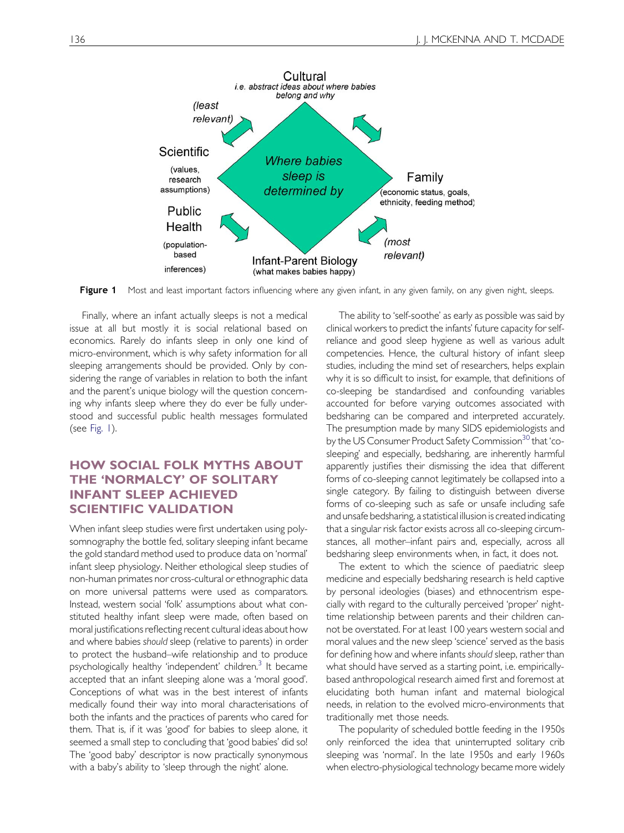

Figure 1 Most and least important factors influencing where any given infant, in any given family, on any given night, sleeps.

Finally, where an infant actually sleeps is not a medical issue at all but mostly it is social relational based on economics. Rarely do infants sleep in only one kind of micro-environment, which is why safety information for all sleeping arrangements should be provided. Only by considering the range of variables in relation to both the infant and the parent's unique biology will the question concerning why infants sleep where they do ever be fully understood and successful public health messages formulated (see [Fig. 1\)](#page-2-0).

# HOW SOCIAL FOLK MYTHS ABOUT THE 'NORMALCY' OF SOLITARY INFANT SLEEP ACHIEVED SCIENTIFIC VALIDATION

<span id="page-2-0"></span>When infant sleep studies were first undertaken using polysomnography the bottle fed, solitary sleeping infant became the gold standard method used to produce data on 'normal' infant sleep physiology. Neither ethological sleep studies of non-human primates nor cross-cultural or ethnographic data on more universal patterns were used as comparators. Instead, western social 'folk' assumptions about what constituted healthy infant sleep were made, often based on moral justifications reflecting recent cultural ideas about how and where babies should sleep (relative to parents) in order to protect the husband–wife relationship and to produce psychologically healthy 'independent' children.<sup>3</sup> It became accepted that an infant sleeping alone was a 'moral good'. Conceptions of what was in the best interest of infants medically found their way into moral characterisations of both the infants and the practices of parents who cared for them. That is, if it was 'good' for babies to sleep alone, it seemed a small step to concluding that 'good babies' did so! The 'good baby' descriptor is now practically synonymous with a baby's ability to 'sleep through the night' alone.

The ability to 'self-soothe' as early as possible was said by clinical workers to predict the infants' future capacity for selfreliance and good sleep hygiene as well as various adult competencies. Hence, the cultural history of infant sleep studies, including the mind set of researchers, helps explain why it is so difficult to insist, for example, that definitions of co-sleeping be standardised and confounding variables accounted for before varying outcomes associated with bedsharing can be compared and interpreted accurately. The presumption made by many SIDS epidemiologists and by the US Consumer Product Safety Commission<sup>30</sup> that 'cosleeping' and especially, bedsharing, are inherently harmful apparently justifies their dismissing the idea that different forms of co-sleeping cannot legitimately be collapsed into a single category. By failing to distinguish between diverse forms of co-sleeping such as safe or unsafe including safe and unsafe bedsharing, a statistical illusion is created indicating that a singular risk factor exists across all co-sleeping circumstances, all mother–infant pairs and, especially, across all bedsharing sleep environments when, in fact, it does not.

The extent to which the science of paediatric sleep medicine and especially bedsharing research is held captive by personal ideologies (biases) and ethnocentrism especially with regard to the culturally perceived 'proper' nighttime relationship between parents and their children cannot be overstated. For at least 100 years western social and moral values and the new sleep 'science' served as the basis for defining how and where infants should sleep, rather than what should have served as a starting point, i.e. empiricallybased anthropological research aimed first and foremost at elucidating both human infant and maternal biological needs, in relation to the evolved micro-environments that traditionally met those needs.

The popularity of scheduled bottle feeding in the 1950s only reinforced the idea that uninterrupted solitary crib sleeping was 'normal'. In the late 1950s and early 1960s when electro-physiological technology became more widely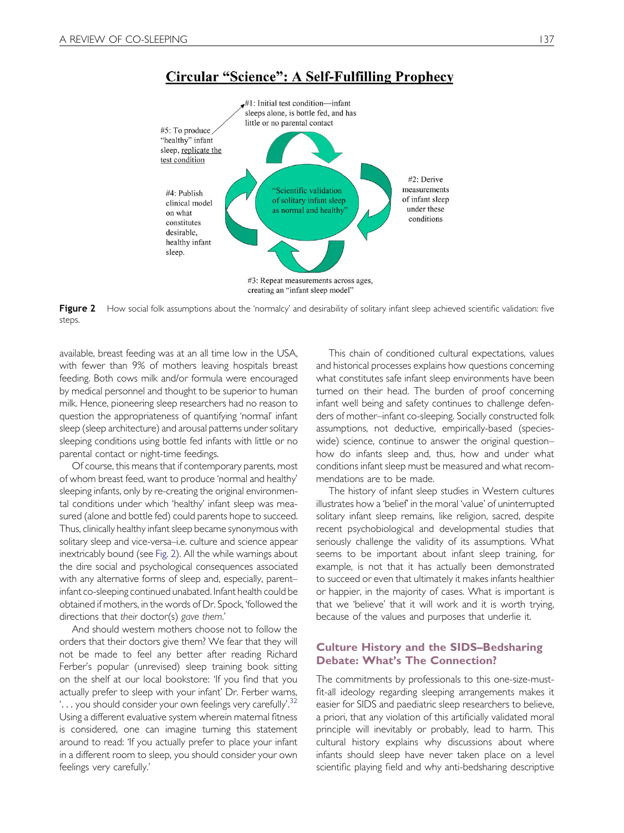

#### **Circular "Science": A Self-Fulfilling Prophecy**

Figure 2 How social folk assumptions about the 'normalcy' and desirability of solitary infant sleep achieved scientific validation: five steps.

available, breast feeding was at an all time low in the USA, with fewer than 9% of mothers leaving hospitals breast feeding. Both cows milk and/or formula were encouraged by medical personnel and thought to be superior to human milk. Hence, pioneering sleep researchers had no reason to question the appropriateness of quantifying 'normal' infant sleep (sleep architecture) and arousal patterns under solitary sleeping conditions using bottle fed infants with little or no parental contact or night-time feedings.

Of course, this means that if contemporary parents, most of whom breast feed, want to produce 'normal and healthy' sleeping infants, only by re-creating the original environmental conditions under which 'healthy' infant sleep was measured (alone and bottle fed) could parents hope to succeed. Thus, clinically healthy infant sleep became synonymous with solitary sleep and vice-versa–i.e. culture and science appear inextricably bound (see [Fig. 2\)](#page-3-0). All the while warnings about the dire social and psychological consequences associated with any alternative forms of sleep and, especially, parent– infant co-sleeping continued unabated. Infant health could be obtained if mothers, in the words of Dr. Spock, 'followed the directions that their doctor(s) gave them.'

<span id="page-3-0"></span>And should western mothers choose not to follow the orders that their doctors give them? We fear that they will not be made to feel any better after reading Richard Ferber's popular (unrevised) sleep training book sitting on the shelf at our local bookstore: 'If you find that you actually prefer to sleep with your infant' Dr. Ferber warns, '... you should consider your own feelings very carefully'. [32](#page-17-0) Using a different evaluative system wherein maternal fitness is considered, one can imagine turning this statement around to read: 'If you actually prefer to place your infant in a different room to sleep, you should consider your own feelings very carefully.'

This chain of conditioned cultural expectations, values and historical processes explains how questions concerning what constitutes safe infant sleep environments have been turned on their head. The burden of proof concerning infant well being and safety continues to challenge defenders of mother–infant co-sleeping. Socially constructed folk assumptions, not deductive, empirically-based (specieswide) science, continue to answer the original question– how do infants sleep and, thus, how and under what conditions infant sleep must be measured and what recommendations are to be made.

The history of infant sleep studies in Western cultures illustrates how a 'belief' in the moral 'value' of uninterrupted solitary infant sleep remains, like religion, sacred, despite recent psychobiological and developmental studies that seriously challenge the validity of its assumptions. What seems to be important about infant sleep training, for example, is not that it has actually been demonstrated to succeed or even that ultimately it makes infants healthier or happier, in the majority of cases. What is important is that we 'believe' that it will work and it is worth trying, because of the values and purposes that underlie it.

#### Culture History and the SIDS–Bedsharing Debate: What's The Connection?

The commitments by professionals to this one-size-mustfit-all ideology regarding sleeping arrangements makes it easier for SIDS and paediatric sleep researchers to believe, a priori, that any violation of this artificially validated moral principle will inevitably or probably, lead to harm. This cultural history explains why discussions about where infants should sleep have never taken place on a level scientific playing field and why anti-bedsharing descriptive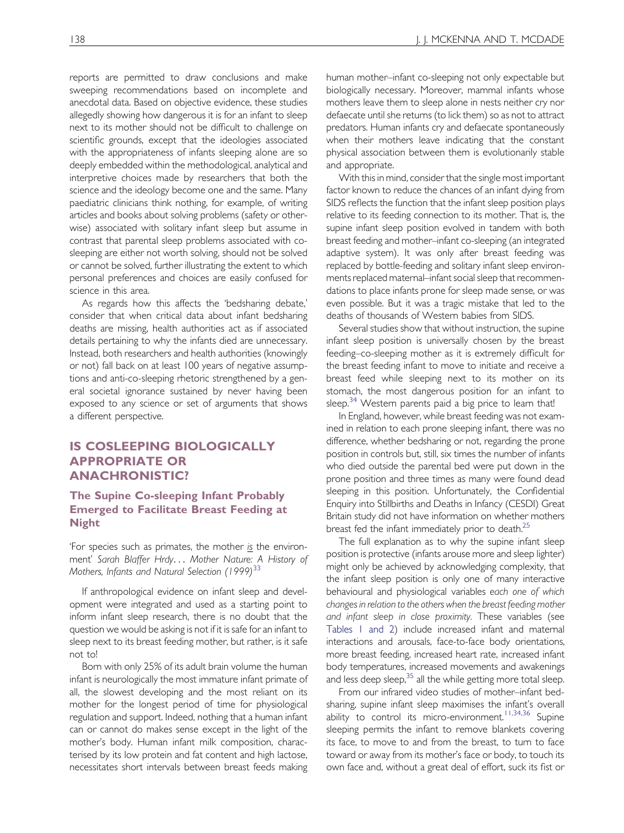reports are permitted to draw conclusions and make sweeping recommendations based on incomplete and anecdotal data. Based on objective evidence, these studies allegedly showing how dangerous it is for an infant to sleep next to its mother should not be difficult to challenge on scientific grounds, except that the ideologies associated with the appropriateness of infants sleeping alone are so deeply embedded within the methodological, analytical and interpretive choices made by researchers that both the science and the ideology become one and the same. Many paediatric clinicians think nothing, for example, of writing articles and books about solving problems (safety or otherwise) associated with solitary infant sleep but assume in contrast that parental sleep problems associated with cosleeping are either not worth solving, should not be solved or cannot be solved, further illustrating the extent to which personal preferences and choices are easily confused for science in this area.

As regards how this affects the 'bedsharing debate,' consider that when critical data about infant bedsharing deaths are missing, health authorities act as if associated details pertaining to why the infants died are unnecessary. Instead, both researchers and health authorities (knowingly or not) fall back on at least 100 years of negative assumptions and anti-co-sleeping rhetoric strengthened by a general societal ignorance sustained by never having been exposed to any science or set of arguments that shows a different perspective.

#### IS COSLEEPING BIOLOGICALLY APPROPRIATE OR ANACHRONISTIC?

#### The Supine Co-sleeping Infant Probably Emerged to Facilitate Breast Feeding at Night

'For species such as primates, the mother is the environment' Sarah Blaffer Hrdy... Mother Nature: A History of Mothers, Infants and Natural Selection (1999)<sup>[33](#page-17-0)</sup>

If anthropological evidence on infant sleep and development were integrated and used as a starting point to inform infant sleep research, there is no doubt that the question we would be asking is not if it is safe for an infant to sleep next to its breast feeding mother, but rather, is it safe not to!

Born with only 25% of its adult brain volume the human infant is neurologically the most immature infant primate of all, the slowest developing and the most reliant on its mother for the longest period of time for physiological regulation and support. Indeed, nothing that a human infant can or cannot do makes sense except in the light of the mother's body. Human infant milk composition, characterised by its low protein and fat content and high lactose, necessitates short intervals between breast feeds making

human mother–infant co-sleeping not only expectable but biologically necessary. Moreover, mammal infants whose mothers leave them to sleep alone in nests neither cry nor defaecate until she returns (to lick them) so as not to attract predators. Human infants cry and defaecate spontaneously when their mothers leave indicating that the constant physical association between them is evolutionarily stable and appropriate.

With this in mind, consider that the single most important factor known to reduce the chances of an infant dying from SIDS reflects the function that the infant sleep position plays relative to its feeding connection to its mother. That is, the supine infant sleep position evolved in tandem with both breast feeding and mother–infant co-sleeping (an integrated adaptive system). It was only after breast feeding was replaced by bottle-feeding and solitary infant sleep environments replaced maternal–infant social sleep that recommendations to place infants prone for sleep made sense, or was even possible. But it was a tragic mistake that led to the deaths of thousands of Western babies from SIDS.

Several studies show that without instruction, the supine infant sleep position is universally chosen by the breast feeding–co-sleeping mother as it is extremely difficult for the breast feeding infant to move to initiate and receive a breast feed while sleeping next to its mother on its stomach, the most dangerous position for an infant to sleep. $34$  Western parents paid a big price to learn that!

In England, however, while breast feeding was not examined in relation to each prone sleeping infant, there was no difference, whether bedsharing or not, regarding the prone position in controls but, still, six times the number of infants who died outside the parental bed were put down in the prone position and three times as many were found dead sleeping in this position. Unfortunately, the Confidential Enquiry into Stillbirths and Deaths in Infancy (CESDI) Great Britain study did not have information on whether mothers breast fed the infant immediately prior to death.<sup>[25](#page-16-0)</sup>

The full explanation as to why the supine infant sleep position is protective (infants arouse more and sleep lighter) might only be achieved by acknowledging complexity, that the infant sleep position is only one of many interactive behavioural and physiological variables each one of which changes in relation to the others when the breast feeding mother and infant sleep in close proximity. These variables (see [Tables 1 and 2](#page-5-0)) include increased infant and maternal interactions and arousals, face-to-face body orientations, more breast feeding, increased heart rate, increased infant body temperatures, increased movements and awakenings and less deep sleep, $35$  all the while getting more total sleep.

From our infrared video studies of mother–infant bedsharing, supine infant sleep maximises the infant's overall ability to control its micro-environment.<sup>[11,34,36](#page-16-0)</sup> Supine sleeping permits the infant to remove blankets covering its face, to move to and from the breast, to turn to face toward or away from its mother's face or body, to touch its own face and, without a great deal of effort, suck its fist or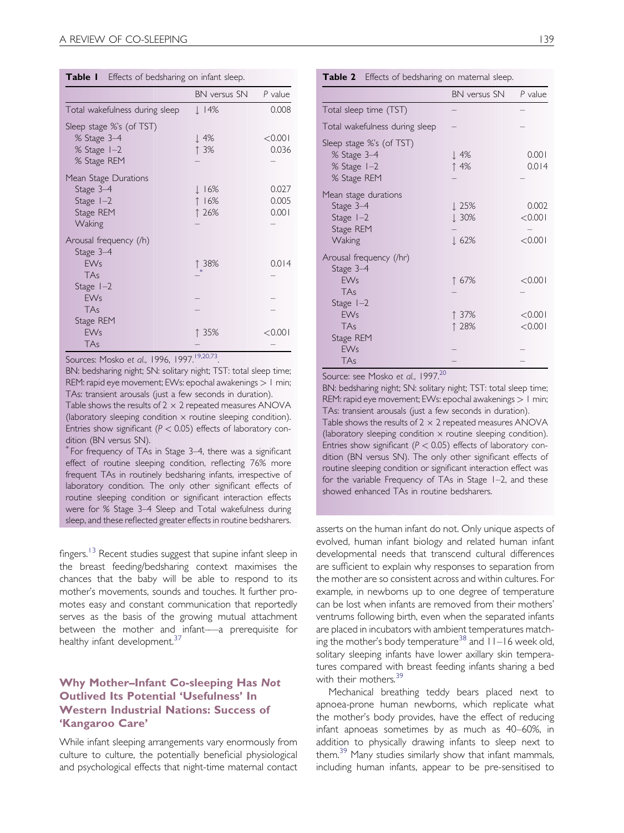| Table 1 |  |  | Effects of bedsharing on infant sleep. |
|---------|--|--|----------------------------------------|
|---------|--|--|----------------------------------------|

|                                                                                              | BN versus SN                   | P value                 |
|----------------------------------------------------------------------------------------------|--------------------------------|-------------------------|
| Total wakefulness during sleep                                                               | $\downarrow$ 14%               | 0.008                   |
| Sleep stage %'s (of TST)<br>% Stage 3-4<br>% Stage 1-2<br>% Stage REM                        | $\perp$ 4%<br>↑ 3%             | < 0.001<br>0.036        |
| Mean Stage Durations<br>Stage 3-4<br>Stage $1-2$<br>Stage REM<br>Waking                      | <u> </u> 16%<br>↑ 16%<br>↑ 26% | 0.027<br>0.005<br>0.001 |
| Arousal frequency (/h)<br>Stage 3-4<br><b>EWs</b><br>TAs<br>Stage $I-2$<br><b>EWs</b><br>TAs | ↑ 38%                          | 0.014                   |
| Stage REM<br><b>EWs</b><br>TAs                                                               | ↑ 35%                          | $<$ 0.001               |

Sources: Mosko et al., 1996, 1997.<sup>19,20,73</sup>.

BN: bedsharing night; SN: solitary night; TST: total sleep time; REM: rapid eye movement; EWs: epochal awakenings > 1 min; TAs: transient arousals (just a few seconds in duration).

Table shows the results of  $2 \times 2$  repeated measures ANOVA (laboratory sleeping condition  $\times$  routine sleeping condition). Entries show significant ( $P < 0.05$ ) effects of laboratory condition (BN versus SN).

\* For frequency of TAs in Stage 3–4, there was a significant effect of routine sleeping condition, reflecting 76% more frequent TAs in routinely bedsharing infants, irrespective of laboratory condition. The only other significant effects of routine sleeping condition or significant interaction effects were for % Stage 3–4 Sleep and Total wakefulness during sleep, and these reflected greater effects in routine bedsharers.

fingers.<sup>[13](#page-16-0)</sup> Recent studies suggest that supine infant sleep in the breast feeding/bedsharing context maximises the chances that the baby will be able to respond to its mother's movements, sounds and touches. It further promotes easy and constant communication that reportedly serves as the basis of the growing mutual attachment between the mother and infant–—a prerequisite for healthy infant development.<sup>[37](#page-17-0)</sup>

#### Why Mother–Infant Co-sleeping Has Not Outlived Its Potential 'Usefulness' In Western Industrial Nations: Success of 'Kangaroo Care'

<span id="page-5-0"></span>While infant sleeping arrangements vary enormously from culture to culture, the potentially beneficial physiological and psychological effects that night-time maternal contact

| ×<br>٦<br>$\sim$ | ×<br>۰.<br>an i |
|------------------|-----------------|

|  |  |  | Table 2 Effects of bedsharing on maternal sleep. |  |  |  |
|--|--|--|--------------------------------------------------|--|--|--|
|--|--|--|--------------------------------------------------|--|--|--|

|                                                                                 | BN versus SN                                         | $P$ value                   |
|---------------------------------------------------------------------------------|------------------------------------------------------|-----------------------------|
| Total sleep time (TST)                                                          |                                                      |                             |
| Total wakefulness during sleep                                                  |                                                      |                             |
| Sleep stage %'s (of TST)<br>% Stage 3-4<br>% Stage 1-2<br>% Stage REM           | ↓ 4%<br>↑ 4%                                         | 0.001<br>0.014              |
| Mean stage durations<br>Stage 3-4<br>Stage $I-2$<br>Stage REM<br>Waking         | $\perp$ 25%<br>$\downarrow 30\%$<br>$\downarrow$ 62% | 0.002<br>< 0.001<br>< 0.001 |
| Arousal frequency (/hr)<br>Stage 3-4<br><b>EWs</b><br><b>TAs</b><br>Stage $I-2$ | ↑ 67%                                                | < 0.001                     |
| <b>EWs</b><br>TAs<br>Stage REM<br><b>EWs</b><br>TAs                             | ↑ 37%<br>↑ 28%                                       | < 0.001<br>< 0.001          |

Source: see Mosko et al., 1997.<sup>20</sup>

BN: bedsharing night; SN: solitary night; TST: total sleep time; REM: rapid eye movement; EWs: epochal awakenings  $>1$  min; TAs: transient arousals (just a few seconds in duration). Table shows the results of  $2 \times 2$  repeated measures ANOVA (laboratory sleeping condition  $\times$  routine sleeping condition). Entries show significant ( $P < 0.05$ ) effects of laboratory condition (BN versus SN). The only other significant effects of routine sleeping condition or significant interaction effect was for the variable Frequency of TAs in Stage 1–2, and these showed enhanced TAs in routine bedsharers.

asserts on the human infant do not. Only unique aspects of evolved, human infant biology and related human infant developmental needs that transcend cultural differences are sufficient to explain why responses to separation from the mother are so consistent across and within cultures. For example, in newborns up to one degree of temperature can be lost when infants are removed from their mothers' ventrums following birth, even when the separated infants are placed in incubators with ambient temperatures match-ing the mother's body temperature<sup>[38](#page-17-0)</sup> and  $11-16$  week old, solitary sleeping infants have lower axillary skin temperatures compared with breast feeding infants sharing a bed with their mothers.<sup>[39](#page-17-0)</sup>

Mechanical breathing teddy bears placed next to apnoea-prone human newborns, which replicate what the mother's body provides, have the effect of reducing infant apnoeas sometimes by as much as 40–60%, in addition to physically drawing infants to sleep next to them.<sup>[39](#page-17-0)</sup> Many studies similarly show that infant mammals, including human infants, appear to be pre-sensitised to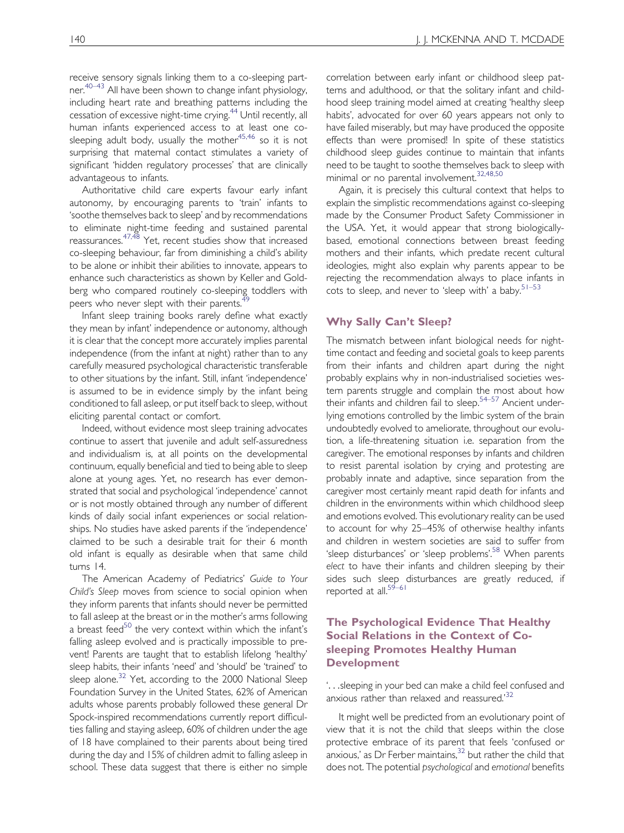receive sensory signals linking them to a co-sleeping partner.[40–43](#page-17-0) All have been shown to change infant physiology, including heart rate and breathing patterns including the cessation of excessive night-time crying.<sup>44</sup> Until recently, all human infants experienced access to at least one cosleeping adult body, usually the mother $45,46$  so it is not surprising that maternal contact stimulates a variety of significant 'hidden regulatory processes' that are clinically advantageous to infants.

Authoritative child care experts favour early infant autonomy, by encouraging parents to 'train' infants to 'soothe themselves back to sleep' and by recommendations to eliminate night-time feeding and sustained parental reassurances.[47,48](#page-17-0) Yet, recent studies show that increased co-sleeping behaviour, far from diminishing a child's ability to be alone or inhibit their abilities to innovate, appears to enhance such characteristics as shown by Keller and Goldberg who compared routinely co-sleeping toddlers with peers who never slept with their parents.<sup>[49](#page-17-0)</sup>

Infant sleep training books rarely define what exactly they mean by infant' independence or autonomy, although it is clear that the concept more accurately implies parental independence (from the infant at night) rather than to any carefully measured psychological characteristic transferable to other situations by the infant. Still, infant 'independence' is assumed to be in evidence simply by the infant being conditioned to fall asleep, or put itself back to sleep, without eliciting parental contact or comfort.

Indeed, without evidence most sleep training advocates continue to assert that juvenile and adult self-assuredness and individualism is, at all points on the developmental continuum, equally beneficial and tied to being able to sleep alone at young ages. Yet, no research has ever demonstrated that social and psychological 'independence' cannot or is not mostly obtained through any number of different kinds of daily social infant experiences or social relationships. No studies have asked parents if the 'independence' claimed to be such a desirable trait for their 6 month old infant is equally as desirable when that same child turns 14.

The American Academy of Pediatrics' Guide to Your Child's Sleep moves from science to social opinion when they inform parents that infants should never be permitted to fall asleep at the breast or in the mother's arms following a breast feed $50$  the very context within which the infant's falling asleep evolved and is practically impossible to prevent! Parents are taught that to establish lifelong 'healthy' sleep habits, their infants 'need' and 'should' be 'trained' to sleep alone.<sup>[32](#page-17-0)</sup> Yet, according to the 2000 National Sleep Foundation Survey in the United States, 62% of American adults whose parents probably followed these general Dr Spock-inspired recommendations currently report difficulties falling and staying asleep, 60% of children under the age of 18 have complained to their parents about being tired during the day and 15% of children admit to falling asleep in school. These data suggest that there is either no simple

correlation between early infant or childhood sleep patterns and adulthood, or that the solitary infant and childhood sleep training model aimed at creating 'healthy sleep habits', advocated for over 60 years appears not only to have failed miserably, but may have produced the opposite effects than were promised! In spite of these statistics childhood sleep guides continue to maintain that infants need to be taught to soothe themselves back to sleep with minimal or no parental involvement.[32,48,50](#page-17-0)

Again, it is precisely this cultural context that helps to explain the simplistic recommendations against co-sleeping made by the Consumer Product Safety Commissioner in the USA. Yet, it would appear that strong biologicallybased, emotional connections between breast feeding mothers and their infants, which predate recent cultural ideologies, might also explain why parents appear to be rejecting the recommendation always to place infants in cots to sleep, and never to 'sleep with' a baby. $51-53$ 

#### Why Sally Can't Sleep?

The mismatch between infant biological needs for nighttime contact and feeding and societal goals to keep parents from their infants and children apart during the night probably explains why in non-industrialised societies western parents struggle and complain the most about how their infants and children fail to sleep.<sup>[54–57](#page-17-0)</sup> Ancient underlying emotions controlled by the limbic system of the brain undoubtedly evolved to ameliorate, throughout our evolution, a life-threatening situation i.e. separation from the caregiver. The emotional responses by infants and children to resist parental isolation by crying and protesting are probably innate and adaptive, since separation from the caregiver most certainly meant rapid death for infants and children in the environments within which childhood sleep and emotions evolved. This evolutionary reality can be used to account for why 25–45% of otherwise healthy infants and children in western societies are said to suffer from 'sleep disturbances' or 'sleep problems'.<sup>[58](#page-17-0)</sup> When parents elect to have their infants and children sleeping by their sides such sleep disturbances are greatly reduced, if reported at all.<sup>59-61</sup>

#### The Psychological Evidence That Healthy Social Relations in the Context of Cosleeping Promotes Healthy Human Development

'...sleeping in your bed can make a child feel confused and anxious rather than relaxed and reassured.' [32](#page-17-0)

It might well be predicted from an evolutionary point of view that it is not the child that sleeps within the close protective embrace of its parent that feels 'confused or anxious,' as Dr Ferber maintains,<sup>[32](#page-17-0)</sup> but rather the child that does not. The potential psychological and emotional benefits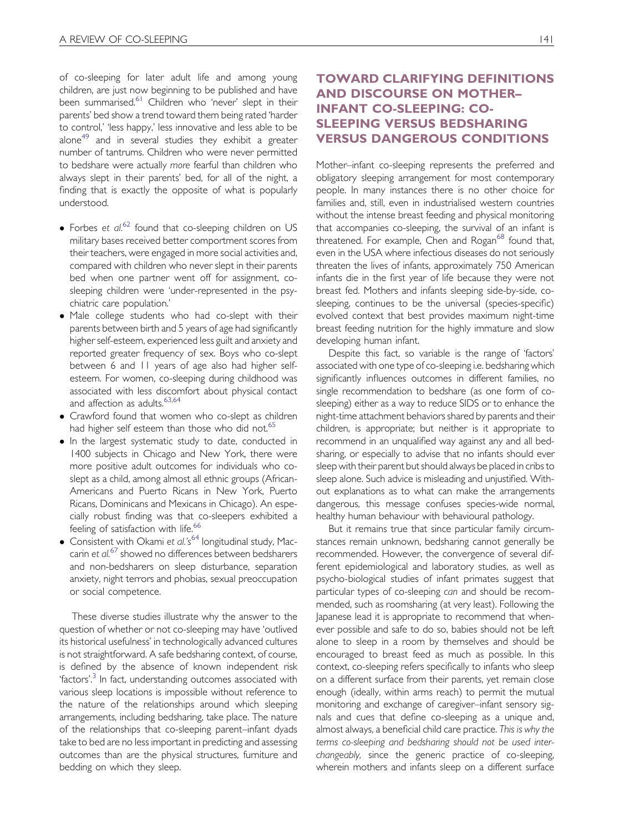of co-sleeping for later adult life and among young children, are just now beginning to be published and have been summarised.<sup>[61](#page-17-0)</sup> Children who 'never' slept in their parents' bed show a trend toward them being rated 'harder to control,' 'less happy,' less innovative and less able to be alone<sup>[49](#page-17-0)</sup> and in several studies they exhibit a greater number of tantrums. Children who were never permitted to bedshare were actually more fearful than children who always slept in their parents' bed, for all of the night, a finding that is exactly the opposite of what is popularly understood.

- $\bullet$  Forbes et al.<sup>[62](#page-17-0)</sup> found that co-sleeping children on US military bases received better comportment scores from their teachers, were engaged in more social activities and, compared with children who never slept in their parents bed when one partner went off for assignment, cosleeping children were 'under-represented in the psychiatric care population.'
- . Male college students who had co-slept with their parents between birth and 5 years of age had significantly higher self-esteem, experienced less guilt and anxiety and reported greater frequency of sex. Boys who co-slept between 6 and 11 years of age also had higher selfesteem. For women, co-sleeping during childhood was associated with less discomfort about physical contact and affection as adults.<sup>[63,64](#page-17-0)</sup>
- Crawford found that women who co-slept as children had higher self esteem than those who did not.<sup>[65](#page-17-0)</sup>
- In the largest systematic study to date, conducted in 1400 subjects in Chicago and New York, there were more positive adult outcomes for individuals who coslept as a child, among almost all ethnic groups (African-Americans and Puerto Ricans in New York, Puerto Ricans, Dominicans and Mexicans in Chicago). An especially robust finding was that co-sleepers exhibited a feeling of satisfaction with life.<sup>[66](#page-17-0)</sup>
- Consistent with Okami et al.'s<sup>[64](#page-17-0)</sup> longitudinal study, Mac-carin et al.<sup>[67](#page-17-0)</sup> showed no differences between bedsharers and non-bedsharers on sleep disturbance, separation anxiety, night terrors and phobias, sexual preoccupation or social competence.

These diverse studies illustrate why the answer to the question of whether or not co-sleeping may have 'outlived its historical usefulness' in technologically advanced cultures is not straightforward. A safe bedsharing context, of course, is defined by the absence of known independent risk 'factors'. [3](#page-16-0) In fact, understanding outcomes associated with various sleep locations is impossible without reference to the nature of the relationships around which sleeping arrangements, including bedsharing, take place. The nature of the relationships that co-sleeping parent–infant dyads take to bed are no less important in predicting and assessing outcomes than are the physical structures, furniture and bedding on which they sleep.

# TOWARD CLARIFYING DEFINITIONS AND DISCOURSE ON MOTHER– INFANT CO-SLEEPING: CO-SLEEPING VERSUS BEDSHARING VERSUS DANGEROUS CONDITIONS

Mother–infant co-sleeping represents the preferred and obligatory sleeping arrangement for most contemporary people. In many instances there is no other choice for families and, still, even in industrialised western countries without the intense breast feeding and physical monitoring that accompanies co-sleeping, the survival of an infant is threatened. For example, Chen and Rogan $^{68}$  $^{68}$  $^{68}$  found that, even in the USA where infectious diseases do not seriously threaten the lives of infants, approximately 750 American infants die in the first year of life because they were not breast fed. Mothers and infants sleeping side-by-side, cosleeping, continues to be the universal (species-specific) evolved context that best provides maximum night-time breast feeding nutrition for the highly immature and slow developing human infant.

Despite this fact, so variable is the range of 'factors' associated with one type of co-sleeping i.e. bedsharing which significantly influences outcomes in different families, no single recommendation to bedshare (as one form of cosleeping) either as a way to reduce SIDS or to enhance the night-time attachment behaviors shared by parents and their children, is appropriate; but neither is it appropriate to recommend in an unqualified way against any and all bedsharing, or especially to advise that no infants should ever sleep with their parent but should always be placed in cribs to sleep alone. Such advice is misleading and unjustified. Without explanations as to what can make the arrangements dangerous, this message confuses species-wide normal, healthy human behaviour with behavioural pathology.

But it remains true that since particular family circumstances remain unknown, bedsharing cannot generally be recommended. However, the convergence of several different epidemiological and laboratory studies, as well as psycho-biological studies of infant primates suggest that particular types of co-sleeping can and should be recommended, such as roomsharing (at very least). Following the Japanese lead it is appropriate to recommend that whenever possible and safe to do so, babies should not be left alone to sleep in a room by themselves and should be encouraged to breast feed as much as possible. In this context, co-sleeping refers specifically to infants who sleep on a different surface from their parents, yet remain close enough (ideally, within arms reach) to permit the mutual monitoring and exchange of caregiver–infant sensory signals and cues that define co-sleeping as a unique and, almost always, a beneficial child care practice. This is why the terms co-sleeping and bedsharing should not be used interchangeably, since the generic practice of co-sleeping, wherein mothers and infants sleep on a different surface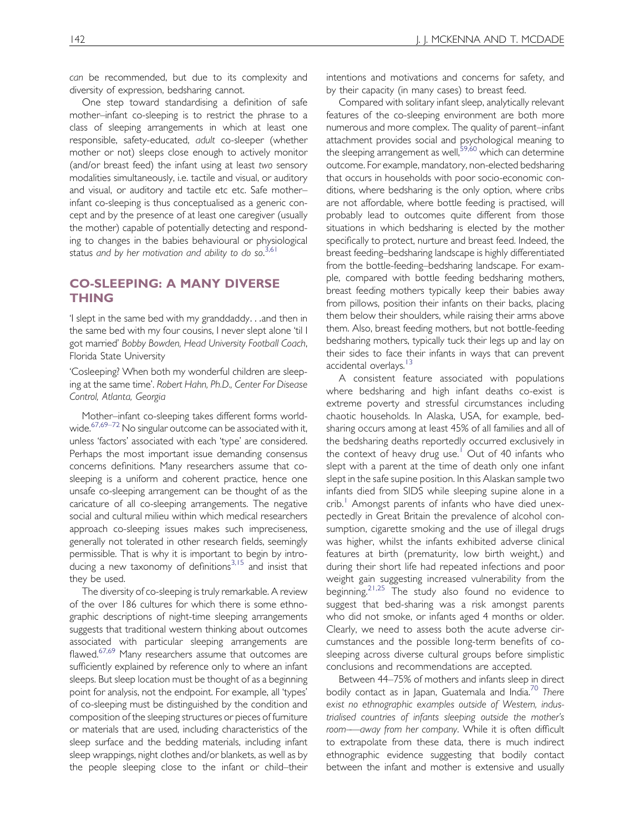can be recommended, but due to its complexity and diversity of expression, bedsharing cannot.

One step toward standardising a definition of safe mother–infant co-sleeping is to restrict the phrase to a class of sleeping arrangements in which at least one responsible, safety-educated, adult co-sleeper (whether mother or not) sleeps close enough to actively monitor (and/or breast feed) the infant using at least two sensory modalities simultaneously, i.e. tactile and visual, or auditory and visual, or auditory and tactile etc etc. Safe mother– infant co-sleeping is thus conceptualised as a generic concept and by the presence of at least one caregiver (usually the mother) capable of potentially detecting and responding to changes in the babies behavioural or physiological status and by her motivation and ability to do so.<sup>[3,61](#page-16-0)</sup>

#### CO-SLEEPING: A MANY DIVERSE THING

'I slept in the same bed with my granddaddy...and then in the same bed with my four cousins, I never slept alone 'til I got married' Bobby Bowden, Head University Football Coach, Florida State University

'Cosleeping? When both my wonderful children are sleeping at the same time'. Robert Hahn, Ph.D., Center For Disease Control, Atlanta, Georgia

Mother–infant co-sleeping takes different forms world-wide.<sup>[67,69–72](#page-17-0)</sup> No singular outcome can be associated with it, unless 'factors' associated with each 'type' are considered. Perhaps the most important issue demanding consensus concerns definitions. Many researchers assume that cosleeping is a uniform and coherent practice, hence one unsafe co-sleeping arrangement can be thought of as the caricature of all co-sleeping arrangements. The negative social and cultural milieu within which medical researchers approach co-sleeping issues makes such impreciseness, generally not tolerated in other research fields, seemingly permissible. That is why it is important to begin by intro-ducing a new taxonomy of definitions<sup>[3,15](#page-16-0)</sup> and insist that they be used.

The diversity of co-sleeping is truly remarkable. A review of the over 186 cultures for which there is some ethnographic descriptions of night-time sleeping arrangements suggests that traditional western thinking about outcomes associated with particular sleeping arrangements are flawed.<sup>[67,69](#page-17-0)</sup> Many researchers assume that outcomes are sufficiently explained by reference only to where an infant sleeps. But sleep location must be thought of as a beginning point for analysis, not the endpoint. For example, all 'types' of co-sleeping must be distinguished by the condition and composition of the sleeping structures or pieces of furniture or materials that are used, including characteristics of the sleep surface and the bedding materials, including infant sleep wrappings, night clothes and/or blankets, as well as by the people sleeping close to the infant or child–their intentions and motivations and concerns for safety, and by their capacity (in many cases) to breast feed.

Compared with solitary infant sleep, analytically relevant features of the co-sleeping environment are both more numerous and more complex. The quality of parent–infant attachment provides social and psychological meaning to the sleeping arrangement as well,<sup>[59,60](#page-17-0)</sup> which can determine outcome. For example, mandatory, non-elected bedsharing that occurs in households with poor socio-economic conditions, where bedsharing is the only option, where cribs are not affordable, where bottle feeding is practised, will probably lead to outcomes quite different from those situations in which bedsharing is elected by the mother specifically to protect, nurture and breast feed. Indeed, the breast feeding–bedsharing landscape is highly differentiated from the bottle-feeding–bedsharing landscape. For example, compared with bottle feeding bedsharing mothers, breast feeding mothers typically keep their babies away from pillows, position their infants on their backs, placing them below their shoulders, while raising their arms above them. Also, breast feeding mothers, but not bottle-feeding bedsharing mothers, typically tuck their legs up and lay on their sides to face their infants in ways that can prevent accidental overlays.<sup>[13](#page-16-0)</sup>

A consistent feature associated with populations where bedsharing and high infant deaths co-exist is extreme poverty and stressful circumstances including chaotic households. In Alaska, USA, for example, bedsharing occurs among at least 45% of all families and all of the bedsharing deaths reportedly occurred exclusively in the context of heavy drug use.<sup>[1](#page-16-0)</sup> Out of 40 infants who slept with a parent at the time of death only one infant slept in the safe supine position. In this Alaskan sample two infants died from SIDS while sleeping supine alone in a  $\text{crit}$ . Amongst parents of infants who have died unexpectedly in Great Britain the prevalence of alcohol consumption, cigarette smoking and the use of illegal drugs was higher, whilst the infants exhibited adverse clinical features at birth (prematurity, low birth weight,) and during their short life had repeated infections and poor weight gain suggesting increased vulnerability from the beginning.[21,25](#page-16-0) The study also found no evidence to suggest that bed-sharing was a risk amongst parents who did not smoke, or infants aged 4 months or older. Clearly, we need to assess both the acute adverse circumstances and the possible long-term benefits of cosleeping across diverse cultural groups before simplistic conclusions and recommendations are accepted.

Between 44–75% of mothers and infants sleep in direct bodily contact as in Japan, Guatemala and India.<sup>[70](#page-17-0)</sup> There exist no ethnographic examples outside of Western, industrialised countries of infants sleeping outside the mother's room–—away from her company. While it is often difficult to extrapolate from these data, there is much indirect ethnographic evidence suggesting that bodily contact between the infant and mother is extensive and usually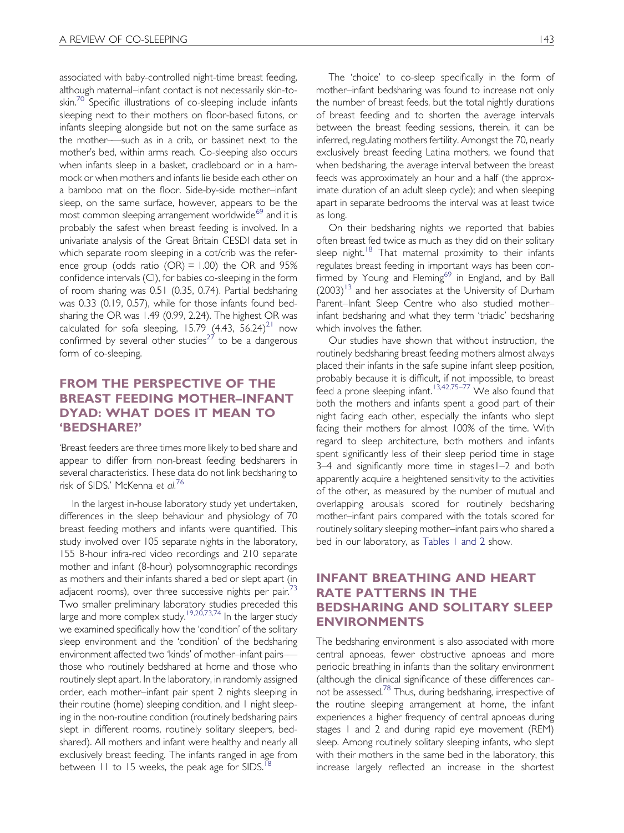associated with baby-controlled night-time breast feeding, although maternal–infant contact is not necessarily skin-to-skin.<sup>[70](#page-17-0)</sup> Specific illustrations of co-sleeping include infants sleeping next to their mothers on floor-based futons, or infants sleeping alongside but not on the same surface as the mother–—such as in a crib, or bassinet next to the mother's bed, within arms reach. Co-sleeping also occurs when infants sleep in a basket, cradleboard or in a hammock or when mothers and infants lie beside each other on a bamboo mat on the floor. Side-by-side mother–infant sleep, on the same surface, however, appears to be the most common sleeping arrangement worldwide<sup>[69](#page-17-0)</sup> and it is probably the safest when breast feeding is involved. In a univariate analysis of the Great Britain CESDI data set in which separate room sleeping in a cot/crib was the reference group (odds ratio (OR)  $= 1.00$ ) the OR and 95% confidence intervals (CI), for babies co-sleeping in the form of room sharing was 0.51 (0.35, 0.74). Partial bedsharing was 0.33 (0.19, 0.57), while for those infants found bedsharing the OR was 1.49 (0.99, 2.24). The highest OR was calculated for sofa sleeping, 15.79  $(4.43, 56.24)^{21}$  $(4.43, 56.24)^{21}$  $(4.43, 56.24)^{21}$  now confirmed by several other studies<sup>[27](#page-16-0)</sup> to be a dangerous form of co-sleeping.

# FROM THE PERSPECTIVE OF THE BREAST FEEDING MOTHER–INFANT DYAD: WHAT DOES IT MEAN TO 'BEDSHARE?'

'Breast feeders are three times more likely to bed share and appear to differ from non-breast feeding bedsharers in several characteristics. These data do not link bedsharing to risk of SIDS.' McKenna et al.<sup>[76](#page-17-0)</sup>

In the largest in-house laboratory study yet undertaken, differences in the sleep behaviour and physiology of 70 breast feeding mothers and infants were quantified. This study involved over 105 separate nights in the laboratory, 155 8-hour infra-red video recordings and 210 separate mother and infant (8-hour) polysomnographic recordings as mothers and their infants shared a bed or slept apart (in adjacent rooms), over three successive nights per pair. $73$ Two smaller preliminary laboratory studies preceded this large and more complex study.<sup>[19,20,73,74](#page-16-0)</sup> In the larger study we examined specifically how the 'condition' of the solitary sleep environment and the 'condition' of the bedsharing environment affected two 'kinds' of mother-infant pairsthose who routinely bedshared at home and those who routinely slept apart. In the laboratory, in randomly assigned order, each mother–infant pair spent 2 nights sleeping in their routine (home) sleeping condition, and 1 night sleeping in the non-routine condition (routinely bedsharing pairs slept in different rooms, routinely solitary sleepers, bedshared). All mothers and infant were healthy and nearly all exclusively breast feeding. The infants ranged in age from between  $11$  to 15 weeks, the peak age for SIDS.<sup>1</sup>

The 'choice' to co-sleep specifically in the form of mother–infant bedsharing was found to increase not only the number of breast feeds, but the total nightly durations of breast feeding and to shorten the average intervals between the breast feeding sessions, therein, it can be inferred, regulating mothers fertility. Amongst the 70, nearly exclusively breast feeding Latina mothers, we found that when bedsharing, the average interval between the breast feeds was approximately an hour and a half (the approximate duration of an adult sleep cycle); and when sleeping apart in separate bedrooms the interval was at least twice as long.

On their bedsharing nights we reported that babies often breast fed twice as much as they did on their solitary sleep night.<sup>[18](#page-16-0)</sup> That maternal proximity to their infants regulates breast feeding in important ways has been con-firmed by Young and Fleming<sup>[69](#page-17-0)</sup> in England, and by Ball  $(2003)^{13}$  $(2003)^{13}$  $(2003)^{13}$  and her associates at the University of Durham Parent–Infant Sleep Centre who also studied mother– infant bedsharing and what they term 'triadic' bedsharing which involves the father.

Our studies have shown that without instruction, the routinely bedsharing breast feeding mothers almost always placed their infants in the safe supine infant sleep position, probably because it is difficult, if not impossible, to breast feed a prone sleeping infant.<sup>[13,42,75–77](#page-16-0)</sup> We also found that both the mothers and infants spent a good part of their night facing each other, especially the infants who slept facing their mothers for almost 100% of the time. With regard to sleep architecture, both mothers and infants spent significantly less of their sleep period time in stage 3–4 and significantly more time in stages1–2 and both apparently acquire a heightened sensitivity to the activities of the other, as measured by the number of mutual and overlapping arousals scored for routinely bedsharing mother–infant pairs compared with the totals scored for routinely solitary sleeping mother–infant pairs who shared a bed in our laboratory, as [Tables 1 and 2](#page-5-0) show.

### INFANT BREATHING AND HEART RATE PATTERNS IN THE BEDSHARING AND SOLITARY SLEEP ENVIRONMENTS

The bedsharing environment is also associated with more central apnoeas, fewer obstructive apnoeas and more periodic breathing in infants than the solitary environment (although the clinical significance of these differences can-not be assessed.<sup>[78](#page-17-0)</sup> Thus, during bedsharing, irrespective of the routine sleeping arrangement at home, the infant experiences a higher frequency of central apnoeas during stages 1 and 2 and during rapid eye movement (REM) sleep. Among routinely solitary sleeping infants, who slept with their mothers in the same bed in the laboratory, this increase largely reflected an increase in the shortest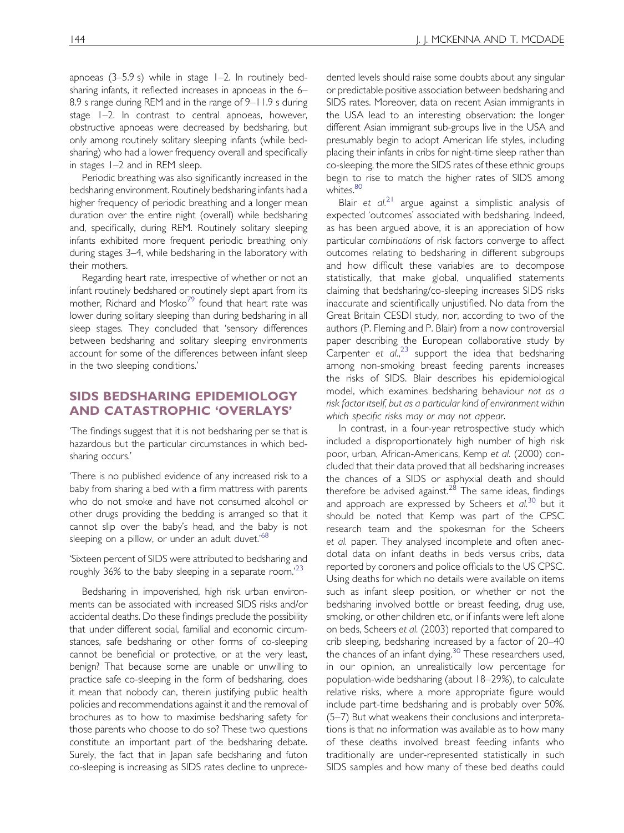apnoeas (3–5.9 s) while in stage 1–2. In routinely bedsharing infants, it reflected increases in apnoeas in the 6– 8.9 s range during REM and in the range of 9–11.9 s during stage 1–2. In contrast to central apnoeas, however, obstructive apnoeas were decreased by bedsharing, but only among routinely solitary sleeping infants (while bedsharing) who had a lower frequency overall and specifically in stages 1–2 and in REM sleep.

Periodic breathing was also significantly increased in the bedsharing environment. Routinely bedsharing infants had a higher frequency of periodic breathing and a longer mean duration over the entire night (overall) while bedsharing and, specifically, during REM. Routinely solitary sleeping infants exhibited more frequent periodic breathing only during stages 3–4, while bedsharing in the laboratory with their mothers.

Regarding heart rate, irrespective of whether or not an infant routinely bedshared or routinely slept apart from its mother, Richard and Mosko<sup>[79](#page-17-0)</sup> found that heart rate was lower during solitary sleeping than during bedsharing in all sleep stages. They concluded that 'sensory differences between bedsharing and solitary sleeping environments account for some of the differences between infant sleep in the two sleeping conditions.'

### SIDS BEDSHARING EPIDEMIOLOGY AND CATASTROPHIC 'OVERLAYS'

'The findings suggest that it is not bedsharing per se that is hazardous but the particular circumstances in which bedsharing occurs.'

'There is no published evidence of any increased risk to a baby from sharing a bed with a firm mattress with parents who do not smoke and have not consumed alcohol or other drugs providing the bedding is arranged so that it cannot slip over the baby's head, and the baby is not sleeping on a pillow, or under an adult duvet.<sup>'[68](#page-17-0)</sup>

'Sixteen percent of SIDS were attributed to bedsharing and roughly 36% to the baby sleeping in a separate room.<sup>1[23](#page-16-0)</sup>

Bedsharing in impoverished, high risk urban environments can be associated with increased SIDS risks and/or accidental deaths. Do these findings preclude the possibility that under different social, familial and economic circumstances, safe bedsharing or other forms of co-sleeping cannot be beneficial or protective, or at the very least, benign? That because some are unable or unwilling to practice safe co-sleeping in the form of bedsharing, does it mean that nobody can, therein justifying public health policies and recommendations against it and the removal of brochures as to how to maximise bedsharing safety for those parents who choose to do so? These two questions constitute an important part of the bedsharing debate. Surely, the fact that in Japan safe bedsharing and futon co-sleeping is increasing as SIDS rates decline to unprecedented levels should raise some doubts about any singular or predictable positive association between bedsharing and SIDS rates. Moreover, data on recent Asian immigrants in the USA lead to an interesting observation: the longer different Asian immigrant sub-groups live in the USA and presumably begin to adopt American life styles, including placing their infants in cribs for night-time sleep rather than co-sleeping, the more the SIDS rates of these ethnic groups begin to rise to match the higher rates of SIDS among whites.<sup>80</sup>

Blair et  $al^{21}$  $al^{21}$  $al^{21}$  argue against a simplistic analysis of expected 'outcomes' associated with bedsharing. Indeed, as has been argued above, it is an appreciation of how particular combinations of risk factors converge to affect outcomes relating to bedsharing in different subgroups and how difficult these variables are to decompose statistically, that make global, unqualified statements claiming that bedsharing/co-sleeping increases SIDS risks inaccurate and scientifically unjustified. No data from the Great Britain CESDI study, nor, according to two of the authors (P. Fleming and P. Blair) from a now controversial paper describing the European collaborative study by Carpenter et al.,<sup>[23](#page-16-0)</sup> support the idea that bedsharing among non-smoking breast feeding parents increases the risks of SIDS. Blair describes his epidemiological model, which examines bedsharing behaviour not as a risk factor itself, but as a particular kind of environment within which specific risks may or may not appear.

In contrast, in a four-year retrospective study which included a disproportionately high number of high risk poor, urban, African-Americans, Kemp et al. (2000) concluded that their data proved that all bedsharing increases the chances of a SIDS or asphyxial death and should therefore be advised against.<sup>[28](#page-16-0)</sup> The same ideas, findings and approach are expressed by Scheers et  $al$ <sup>[30](#page-17-0)</sup> but it should be noted that Kemp was part of the CPSC research team and the spokesman for the Scheers et al. paper. They analysed incomplete and often anecdotal data on infant deaths in beds versus cribs, data reported by coroners and police officials to the US CPSC. Using deaths for which no details were available on items such as infant sleep position, or whether or not the bedsharing involved bottle or breast feeding, drug use, smoking, or other children etc, or if infants were left alone on beds, Scheers et al. (2003) reported that compared to crib sleeping, bedsharing increased by a factor of 20–40 the chances of an infant dying.<sup>[30](#page-17-0)</sup> These researchers used, in our opinion, an unrealistically low percentage for population-wide bedsharing (about 18–29%), to calculate relative risks, where a more appropriate figure would include part-time bedsharing and is probably over 50%. (5–7) But what weakens their conclusions and interpretations is that no information was available as to how many of these deaths involved breast feeding infants who traditionally are under-represented statistically in such SIDS samples and how many of these bed deaths could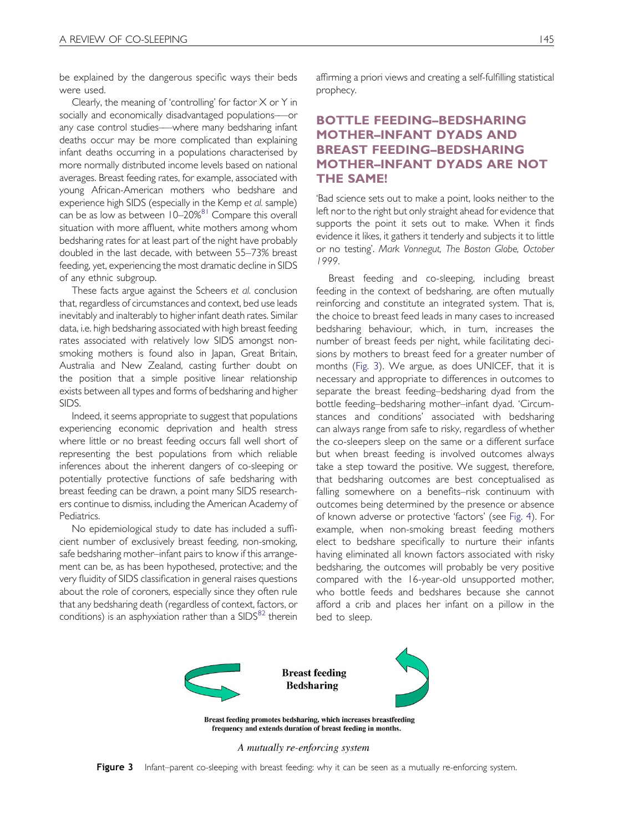be explained by the dangerous specific ways their beds were used.

Clearly, the meaning of 'controlling' for factor  $X$  or  $Y$  in socially and economically disadvantaged populations–—or any case control studies–—where many bedsharing infant deaths occur may be more complicated than explaining infant deaths occurring in a populations characterised by more normally distributed income levels based on national averages. Breast feeding rates, for example, associated with young African-American mothers who bedshare and experience high SIDS (especially in the Kemp et al. sample) can be as low as between 10–20%<sup>[81](#page-18-0)</sup> Compare this overall situation with more affluent, white mothers among whom bedsharing rates for at least part of the night have probably doubled in the last decade, with between 55–73% breast feeding, yet, experiencing the most dramatic decline in SIDS of any ethnic subgroup.

These facts argue against the Scheers et al. conclusion that, regardless of circumstances and context, bed use leads inevitably and inalterably to higher infant death rates. Similar data, i.e. high bedsharing associated with high breast feeding rates associated with relatively low SIDS amongst nonsmoking mothers is found also in Japan, Great Britain, Australia and New Zealand, casting further doubt on the position that a simple positive linear relationship exists between all types and forms of bedsharing and higher SIDS.

Indeed, it seems appropriate to suggest that populations experiencing economic deprivation and health stress where little or no breast feeding occurs fall well short of representing the best populations from which reliable inferences about the inherent dangers of co-sleeping or potentially protective functions of safe bedsharing with breast feeding can be drawn, a point many SIDS researchers continue to dismiss, including the American Academy of Pediatrics.

No epidemiological study to date has included a sufficient number of exclusively breast feeding, non-smoking, safe bedsharing mother–infant pairs to know if this arrangement can be, as has been hypothesed, protective; and the very fluidity of SIDS classification in general raises questions about the role of coroners, especially since they often rule that any bedsharing death (regardless of context, factors, or conditions) is an asphyxiation rather than a  $SIDS^{82}$  $SIDS^{82}$  $SIDS^{82}$  therein affirming a priori views and creating a self-fulfilling statistical prophecy.

# BOTTLE FEEDING–BEDSHARING MOTHER–INFANT DYADS AND BREAST FEEDING–BEDSHARING MOTHER–INFANT DYADS ARE NOT THE SAME!

'Bad science sets out to make a point, looks neither to the left nor to the right but only straight ahead for evidence that supports the point it sets out to make. When it finds evidence it likes, it gathers it tenderly and subjects it to little or no testing'. Mark Vonnegut, The Boston Globe, October 1999.

Breast feeding and co-sleeping, including breast feeding in the context of bedsharing, are often mutually reinforcing and constitute an integrated system. That is, the choice to breast feed leads in many cases to increased bedsharing behaviour, which, in turn, increases the number of breast feeds per night, while facilitating decisions by mothers to breast feed for a greater number of months ([Fig. 3\)](#page-11-0). We argue, as does UNICEF, that it is necessary and appropriate to differences in outcomes to separate the breast feeding–bedsharing dyad from the bottle feeding–bedsharing mother–infant dyad. 'Circumstances and conditions' associated with bedsharing can always range from safe to risky, regardless of whether the co-sleepers sleep on the same or a different surface but when breast feeding is involved outcomes always take a step toward the positive. We suggest, therefore, that bedsharing outcomes are best conceptualised as falling somewhere on a benefits–risk continuum with outcomes being determined by the presence or absence of known adverse or protective 'factors' (see [Fig. 4](#page-12-0)). For example, when non-smoking breast feeding mothers elect to bedshare specifically to nurture their infants having eliminated all known factors associated with risky bedsharing, the outcomes will probably be very positive compared with the 16-year-old unsupported mother, who bottle feeds and bedshares because she cannot afford a crib and places her infant on a pillow in the bed to sleep.



Breast feeding promotes bedsharing, which increases breastfeeding frequency and extends duration of breast feeding in months.

A mutually re-enforcing system

<span id="page-11-0"></span>Figure 3 Infant–parent co-sleeping with breast feeding: why it can be seen as a mutually re-enforcing system.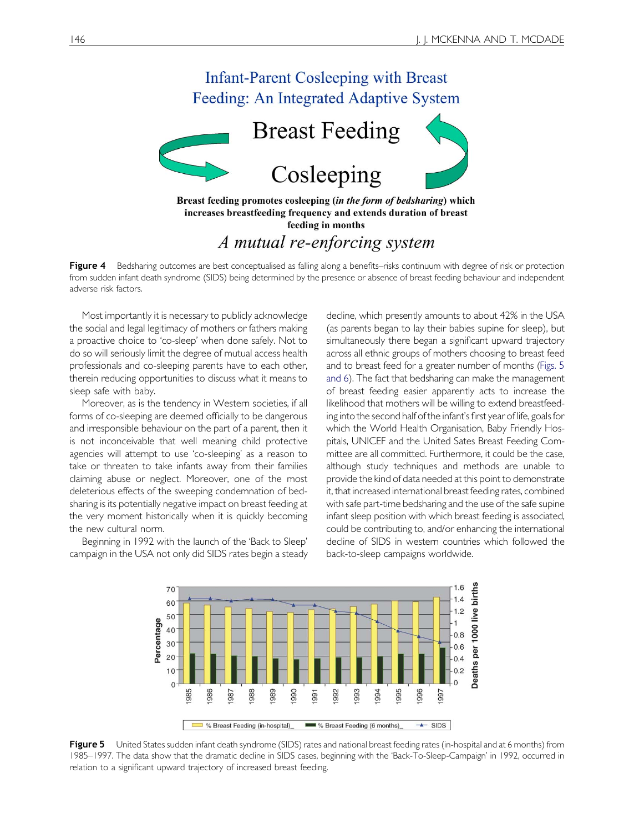



increases breastfeeding frequency and extends duration of breast feeding in months

# A mutual re-enforcing system

Figure 4 Bedsharing outcomes are best conceptualised as falling along a benefits–risks continuum with degree of risk or protection from sudden infant death syndrome (SIDS) being determined by the presence or absence of breast feeding behaviour and independent adverse risk factors.

Most importantly it is necessary to publicly acknowledge the social and legal legitimacy of mothers or fathers making a proactive choice to 'co-sleep' when done safely. Not to do so will seriously limit the degree of mutual access health professionals and co-sleeping parents have to each other, therein reducing opportunities to discuss what it means to sleep safe with baby.

Moreover, as is the tendency in Western societies, if all forms of co-sleeping are deemed officially to be dangerous and irresponsible behaviour on the part of a parent, then it is not inconceivable that well meaning child protective agencies will attempt to use 'co-sleeping' as a reason to take or threaten to take infants away from their families claiming abuse or neglect. Moreover, one of the most deleterious effects of the sweeping condemnation of bedsharing is its potentially negative impact on breast feeding at the very moment historically when it is quickly becoming the new cultural norm.

Beginning in 1992 with the launch of the 'Back to Sleep' campaign in the USA not only did SIDS rates begin a steady decline, which presently amounts to about 42% in the USA (as parents began to lay their babies supine for sleep), but simultaneously there began a significant upward trajectory across all ethnic groups of mothers choosing to breast feed and to breast feed for a greater number of months [\(Figs. 5](#page-12-0) [and 6\)](#page-12-0). The fact that bedsharing can make the management of breast feeding easier apparently acts to increase the likelihood that mothers will be willing to extend breastfeeding into the second half of the infant's first year of life, goals for which the World Health Organisation, Baby Friendly Hospitals, UNICEF and the United Sates Breast Feeding Committee are all committed. Furthermore, it could be the case, although study techniques and methods are unable to provide the kind of data needed at this point to demonstrate it, that increased international breast feeding rates, combined with safe part-time bedsharing and the use of the safe supine infant sleep position with which breast feeding is associated, could be contributing to, and/or enhancing the international decline of SIDS in western countries which followed the back-to-sleep campaigns worldwide.



<span id="page-12-0"></span>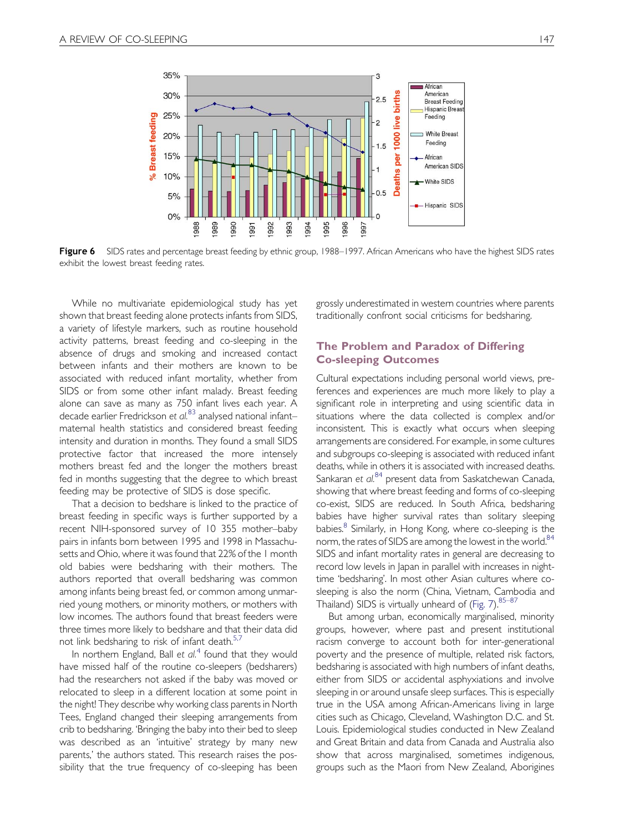

Figure 6 SIDS rates and percentage breast feeding by ethnic group, 1988–1997. African Americans who have the highest SIDS rates exhibit the lowest breast feeding rates.

While no multivariate epidemiological study has yet shown that breast feeding alone protects infants from SIDS, a variety of lifestyle markers, such as routine household activity patterns, breast feeding and co-sleeping in the absence of drugs and smoking and increased contact between infants and their mothers are known to be associated with reduced infant mortality, whether from SIDS or from some other infant malady. Breast feeding alone can save as many as 750 infant lives each year. A decade earlier Fredrickson et al.<sup>[83](#page-18-0)</sup> analysed national infant– maternal health statistics and considered breast feeding intensity and duration in months. They found a small SIDS protective factor that increased the more intensely mothers breast fed and the longer the mothers breast fed in months suggesting that the degree to which breast feeding may be protective of SIDS is dose specific.

That a decision to bedshare is linked to the practice of breast feeding in specific ways is further supported by a recent NIH-sponsored survey of 10 355 mother–baby pairs in infants born between 1995 and 1998 in Massachusetts and Ohio, where it was found that 22% of the 1 month old babies were bedsharing with their mothers. The authors reported that overall bedsharing was common among infants being breast fed, or common among unmarried young mothers, or minority mothers, or mothers with low incomes. The authors found that breast feeders were three times more likely to bedshare and that their data did not link bedsharing to risk of infant death.<sup>5,7</sup>

In northern England, Ball et  $al<sup>4</sup>$  $al<sup>4</sup>$  $al<sup>4</sup>$  found that they would have missed half of the routine co-sleepers (bedsharers) had the researchers not asked if the baby was moved or relocated to sleep in a different location at some point in the night! They describe why working class parents in North Tees, England changed their sleeping arrangements from crib to bedsharing. 'Bringing the baby into their bed to sleep was described as an 'intuitive' strategy by many new parents,' the authors stated. This research raises the possibility that the true frequency of co-sleeping has been

grossly underestimated in western countries where parents traditionally confront social criticisms for bedsharing.

#### The Problem and Paradox of Differing Co-sleeping Outcomes

Cultural expectations including personal world views, preferences and experiences are much more likely to play a significant role in interpreting and using scientific data in situations where the data collected is complex and/or inconsistent. This is exactly what occurs when sleeping arrangements are considered. For example, in some cultures and subgroups co-sleeping is associated with reduced infant deaths, while in others it is associated with increased deaths. Sankaran et al.<sup>[84](#page-18-0)</sup> present data from Saskatchewan Canada, showing that where breast feeding and forms of co-sleeping co-exist, SIDS are reduced. In South Africa, bedsharing babies have higher survival rates than solitary sleeping babies.<sup>[8](#page-16-0)</sup> Similarly, in Hong Kong, where co-sleeping is the norm, the rates of SIDS are among the lowest in the world.<sup>[84](#page-18-0)</sup> SIDS and infant mortality rates in general are decreasing to record low levels in Japan in parallel with increases in nighttime 'bedsharing'. In most other Asian cultures where cosleeping is also the norm (China, Vietnam, Cambodia and Thailand) SIDS is virtually unheard of (Fig.  $7)^{85-87}$ 

But among urban, economically marginalised, minority groups, however, where past and present institutional racism converge to account both for inter-generational poverty and the presence of multiple, related risk factors, bedsharing is associated with high numbers of infant deaths, either from SIDS or accidental asphyxiations and involve sleeping in or around unsafe sleep surfaces. This is especially true in the USA among African-Americans living in large cities such as Chicago, Cleveland, Washington D.C. and St. Louis. Epidemiological studies conducted in New Zealand and Great Britain and data from Canada and Australia also show that across marginalised, sometimes indigenous, groups such as the Maori from New Zealand, Aborigines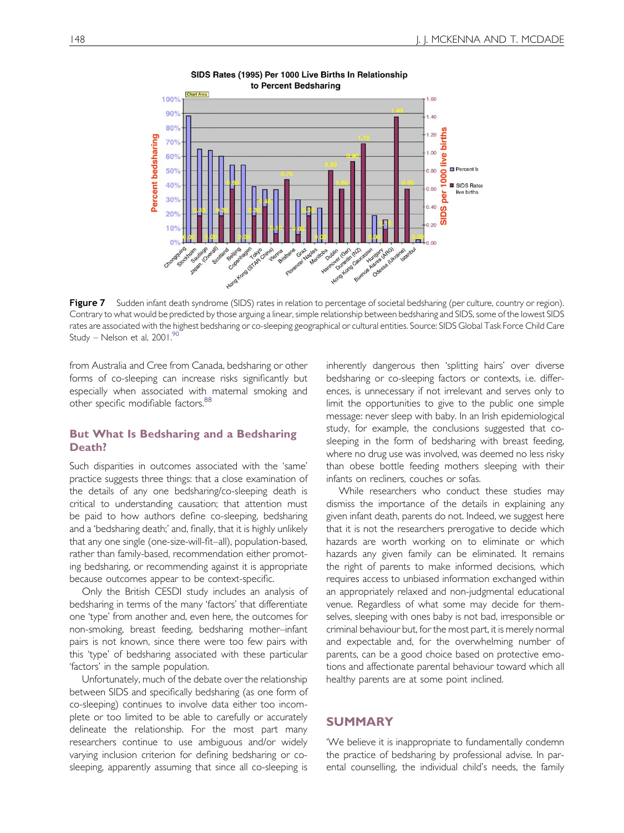

SIDS Rates (1995) Per 1000 Live Births In Relationship to Percent Bedsharing

Figure 7 Sudden infant death syndrome (SIDS) rates in relation to percentage of societal bedsharing (per culture, country or region). Contrary to what would be predicted by those arguing a linear, simple relationship between bedsharing and SIDS, some of the lowest SIDS rates are associated with the highest bedsharing or co-sleeping geographical or cultural entities. Source: SIDS Global Task Force Child Care Study – Nelson et al, 2001[.90](#page-18-0)

from Australia and Cree from Canada, bedsharing or other forms of co-sleeping can increase risks significantly but especially when associated with maternal smoking and other specific modifiable factors.<sup>[88](#page-18-0)</sup>

#### But What Is Bedsharing and a Bedsharing Death?

Such disparities in outcomes associated with the 'same' practice suggests three things: that a close examination of the details of any one bedsharing/co-sleeping death is critical to understanding causation; that attention must be paid to how authors define co-sleeping, bedsharing and a 'bedsharing death;' and, finally, that it is highly unlikely that any one single (one-size-will-fit–all), population-based, rather than family-based, recommendation either promoting bedsharing, or recommending against it is appropriate because outcomes appear to be context-specific.

Only the British CESDI study includes an analysis of bedsharing in terms of the many 'factors' that differentiate one 'type' from another and, even here, the outcomes for non-smoking, breast feeding, bedsharing mother–infant pairs is not known, since there were too few pairs with this 'type' of bedsharing associated with these particular 'factors' in the sample population.

<span id="page-14-0"></span>Unfortunately, much of the debate over the relationship between SIDS and specifically bedsharing (as one form of co-sleeping) continues to involve data either too incomplete or too limited to be able to carefully or accurately delineate the relationship. For the most part many researchers continue to use ambiguous and/or widely varying inclusion criterion for defining bedsharing or cosleeping, apparently assuming that since all co-sleeping is

inherently dangerous then 'splitting hairs' over diverse bedsharing or co-sleeping factors or contexts, i.e. differences, is unnecessary if not irrelevant and serves only to limit the opportunities to give to the public one simple message: never sleep with baby. In an Irish epidemiological study, for example, the conclusions suggested that cosleeping in the form of bedsharing with breast feeding, where no drug use was involved, was deemed no less risky than obese bottle feeding mothers sleeping with their infants on recliners, couches or sofas.

While researchers who conduct these studies may dismiss the importance of the details in explaining any given infant death, parents do not. Indeed, we suggest here that it is not the researchers prerogative to decide which hazards are worth working on to eliminate or which hazards any given family can be eliminated. It remains the right of parents to make informed decisions, which requires access to unbiased information exchanged within an appropriately relaxed and non-judgmental educational venue. Regardless of what some may decide for themselves, sleeping with ones baby is not bad, irresponsible or criminal behaviour but, for the most part, it is merely normal and expectable and, for the overwhelming number of parents, can be a good choice based on protective emotions and affectionate parental behaviour toward which all healthy parents are at some point inclined.

#### SUMMARY

'We believe it is inappropriate to fundamentally condemn the practice of bedsharing by professional advise. In parental counselling, the individual child's needs, the family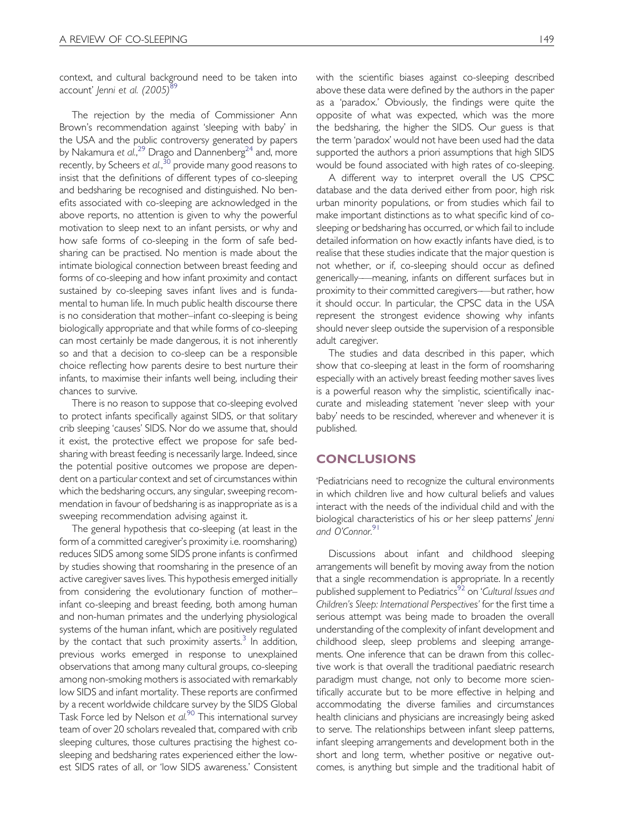context, and cultural background need to be taken into account' Jenni et al. (2005)<sup>[89](#page-18-0)</sup>

The rejection by the media of Commissioner Ann Brown's recommendation against 'sleeping with baby' in the USA and the public controversy generated by papers by Nakamura et al.,<sup>[29](#page-16-0)</sup> Drago and Dannenberg<sup>24</sup> and, more recently, by Scheers et al., $^{30}$  $^{30}$  $^{30}$  provide many good reasons to insist that the definitions of different types of co-sleeping and bedsharing be recognised and distinguished. No benefits associated with co-sleeping are acknowledged in the above reports, no attention is given to why the powerful motivation to sleep next to an infant persists, or why and how safe forms of co-sleeping in the form of safe bedsharing can be practised. No mention is made about the intimate biological connection between breast feeding and forms of co-sleeping and how infant proximity and contact sustained by co-sleeping saves infant lives and is fundamental to human life. In much public health discourse there is no consideration that mother–infant co-sleeping is being biologically appropriate and that while forms of co-sleeping can most certainly be made dangerous, it is not inherently so and that a decision to co-sleep can be a responsible choice reflecting how parents desire to best nurture their infants, to maximise their infants well being, including their chances to survive.

There is no reason to suppose that co-sleeping evolved to protect infants specifically against SIDS, or that solitary crib sleeping 'causes' SIDS. Nor do we assume that, should it exist, the protective effect we propose for safe bedsharing with breast feeding is necessarily large. Indeed, since the potential positive outcomes we propose are dependent on a particular context and set of circumstances within which the bedsharing occurs, any singular, sweeping recommendation in favour of bedsharing is as inappropriate as is a sweeping recommendation advising against it.

The general hypothesis that co-sleeping (at least in the form of a committed caregiver's proximity i.e. roomsharing) reduces SIDS among some SIDS prone infants is confirmed by studies showing that roomsharing in the presence of an active caregiver saves lives. This hypothesis emerged initially from considering the evolutionary function of mother– infant co-sleeping and breast feeding, both among human and non-human primates and the underlying physiological systems of the human infant, which are positively regulated by the contact that such proximity asserts.<sup>3</sup> In addition, previous works emerged in response to unexplained observations that among many cultural groups, co-sleeping among non-smoking mothers is associated with remarkably low SIDS and infant mortality. These reports are confirmed by a recent worldwide childcare survey by the SIDS Global Task Force led by Nelson et  $aI^{90}$  $aI^{90}$  $aI^{90}$ . This international survey team of over 20 scholars revealed that, compared with crib sleeping cultures, those cultures practising the highest cosleeping and bedsharing rates experienced either the lowest SIDS rates of all, or 'low SIDS awareness.' Consistent with the scientific biases against co-sleeping described above these data were defined by the authors in the paper as a 'paradox.' Obviously, the findings were quite the opposite of what was expected, which was the more the bedsharing, the higher the SIDS. Our guess is that the term 'paradox' would not have been used had the data supported the authors a priori assumptions that high SIDS would be found associated with high rates of co-sleeping.

A different way to interpret overall the US CPSC database and the data derived either from poor, high risk urban minority populations, or from studies which fail to make important distinctions as to what specific kind of cosleeping or bedsharing has occurred, or which fail to include detailed information on how exactly infants have died, is to realise that these studies indicate that the major question is not whether, or if, co-sleeping should occur as defined generically–—meaning, infants on different surfaces but in proximity to their committed caregivers–—but rather, how it should occur. In particular, the CPSC data in the USA represent the strongest evidence showing why infants should never sleep outside the supervision of a responsible adult caregiver.

The studies and data described in this paper, which show that co-sleeping at least in the form of roomsharing especially with an actively breast feeding mother saves lives is a powerful reason why the simplistic, scientifically inaccurate and misleading statement 'never sleep with your baby' needs to be rescinded, wherever and whenever it is published.

#### **CONCLUSIONS**

'Pediatricians need to recognize the cultural environments in which children live and how cultural beliefs and values interact with the needs of the individual child and with the biological characteristics of his or her sleep patterns' Jenni and O'Connor.<sup>[91](#page-18-0)</sup>

Discussions about infant and childhood sleeping arrangements will benefit by moving away from the notion that a single recommendation is appropriate. In a recently published supplement to Pediatrics<sup>[92](#page-18-0)</sup> on 'Cultural Issues and Children's Sleep: International Perspectives' for the first time a serious attempt was being made to broaden the overall understanding of the complexity of infant development and childhood sleep, sleep problems and sleeping arrangements. One inference that can be drawn from this collective work is that overall the traditional paediatric research paradigm must change, not only to become more scientifically accurate but to be more effective in helping and accommodating the diverse families and circumstances health clinicians and physicians are increasingly being asked to serve. The relationships between infant sleep patterns, infant sleeping arrangements and development both in the short and long term, whether positive or negative outcomes, is anything but simple and the traditional habit of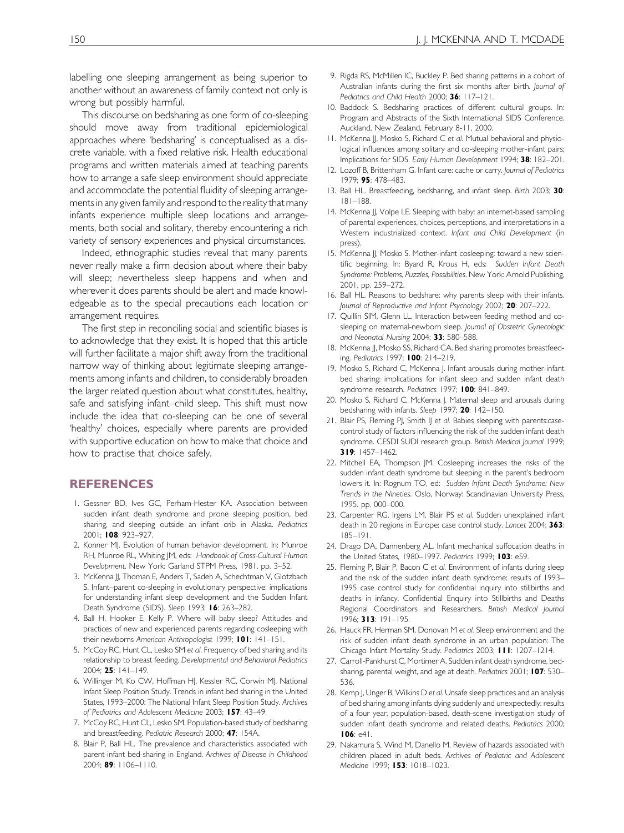labelling one sleeping arrangement as being superior to another without an awareness of family context not only is wrong but possibly harmful.

This discourse on bedsharing as one form of co-sleeping should move away from traditional epidemiological approaches where 'bedsharing' is conceptualised as a discrete variable, with a fixed relative risk. Health educational programs and written materials aimed at teaching parents how to arrange a safe sleep environment should appreciate and accommodate the potential fluidity of sleeping arrangements in any given family and respond to the reality that many infants experience multiple sleep locations and arrangements, both social and solitary, thereby encountering a rich variety of sensory experiences and physical circumstances.

Indeed, ethnographic studies reveal that many parents never really make a firm decision about where their baby will sleep; nevertheless sleep happens and when and wherever it does parents should be alert and made knowledgeable as to the special precautions each location or arrangement requires.

The first step in reconciling social and scientific biases is to acknowledge that they exist. It is hoped that this article will further facilitate a major shift away from the traditional narrow way of thinking about legitimate sleeping arrangements among infants and children, to considerably broaden the larger related question about what constitutes, healthy, safe and satisfying infant–child sleep. This shift must now include the idea that co-sleeping can be one of several 'healthy' choices, especially where parents are provided with supportive education on how to make that choice and how to practise that choice safely.

#### REFERENCES

- 1. Gessner BD, Ives GC, Perham-Hester KA. Association between sudden infant death syndrome and prone sleeping position, bed sharing, and sleeping outside an infant crib in Alaska. Pediatrics 2001; 108: 923–927.
- 2. Konner MJ. Evolution of human behavior development. In: Munroe RH, Munroe RL, Whiting JM, eds: Handbook of Cross-Cultural Human Development. New York: Garland STPM Press, 1981. pp. 3–52.
- 3. McKenna JJ, Thoman E, Anders T, Sadeh A, Schechtman V, Glotzbach S. Infant–parent co-sleeping in evolutionary perspective: implications for understanding infant sleep development and the Sudden Infant Death Syndrome (SIDS). Sleep 1993; 16: 263–282.
- 4. Ball H, Hooker E, Kelly P. Where will baby sleep? Attitudes and practices of new and experienced parents regarding cosleeping with their newborns American Anthropologist 1999; 101: 141-151.
- 5. McCoy RC, Hunt CL, Lesko SM et al. Frequency of bed sharing and its relationship to breast feeding. Developmental and Behavioral Pediatrics 2004; 25: 141–149.
- 6. Willinger M, Ko CW, Hoffman HJ, Kessler RC, Corwin MJ. National Infant Sleep Position Study. Trends in infant bed sharing in the United States, 1993–2000: The National Infant Sleep Position Study. Archives of Pediatrics and Adolescent Medicine 2003; 157: 43–49.
- 7. McCoy RC, Hunt CL, Lesko SM. Population-based study of bedsharing and breastfeeding. Pediatric Research 2000; 47: 154A.
- <span id="page-16-0"></span>8. Blair P, Ball HL. The prevalence and characteristics associated with parent-infant bed-sharing in England. Archives of Disease in Childhood 2004; 89: 1106–1110.
- 9. Rigda RS, McMillen IC, Buckley P. Bed sharing patterns in a cohort of Australian infants during the first six months after birth. Journal of Pediatrics and Child Health 2000; 36: 117-121.
- 10. Baddock S. Bedsharing practices of different cultural groups. In: Program and Abstracts of the Sixth International SIDS Conference. Auckland, New Zealand, February 8-11, 2000.
- 11. McKenna JJ, Mosko S, Richard C et al. Mutual behavioral and physiological influences among solitary and co-sleeping mother-infant pairs; Implications for SIDS. Early Human Development 1994; 38: 182–201.
- 12. Lozoff B, Brittenham G. Infant care: cache or carry. Journal of Pediatrics 1979; 95: 478–483.
- 13. Ball HL. Breastfeeding, bedsharing, and infant sleep. Birth 2003; 30: 181–188.
- 14. McKenna JJ, Volpe LE. Sleeping with baby: an internet-based sampling of parental experiences, choices, perceptions, and interpretations in a Western industrialized context. Infant and Child Development (in press).
- 15. McKenna JJ, Mosko S. Mother-infant cosleeping: toward a new scientific beginning. In: Byard R, Krous H, eds: Sudden Infant Death Syndrome: Problems, Puzzles, Possibilities. New York: Arnold Publishing, 2001. pp. 259–272.
- 16. Ball HL. Reasons to bedshare: why parents sleep with their infants. Journal of Reproductive and Infant Psychology 2002; 20: 207-222.
- 17. Quillin SIM, Glenn LL. Interaction between feeding method and cosleeping on maternal-newborn sleep. Journal of Obstetric Gynecologic and Neonatal Nursing 2004; 33: 580–588.
- 18. McKenna JJ, Mosko SS, Richard CA. Bed sharing promotes breastfeeding. Pediatrics 1997; 100: 214–219.
- 19. Mosko S, Richard C, McKenna J. Infant arousals during mother-infant bed sharing: implications for infant sleep and sudden infant death syndrome research. Pediatrics 1997; 100: 841-849.
- 20. Mosko S, Richard C, McKenna J. Maternal sleep and arousals during bedsharing with infants. Sleep 1997; 20: 142-150.
- 21. Blair PS, Fleming PJ, Smith IJ et al. Babies sleeping with parents:casecontrol study of factors influencing the risk of the sudden infant death syndrome. CESDI SUDI research group. British Medical Journal 1999; 319: 1457–1462.
- 22. Mitchell EA, Thompson JM. Cosleeping increases the risks of the sudden infant death syndrome but sleeping in the parent's bedroom lowers it. In: Rognum TO, ed: Sudden Infant Death Syndrome: New Trends in the Nineties. Oslo, Norway: Scandinavian University Press, 1995. pp. 000–000.
- 23. Carpenter RG, Irgens LM, Blair PS et al. Sudden unexplained infant death in 20 regions in Europe: case control study. Lancet 2004; 363: 185–191.
- 24. Drago DA, Dannenberg AL. Infant mechanical suffocation deaths in the United States, 1980–1997. Pediatrics 1999; 103: e59.
- 25. Fleming P, Blair P, Bacon C et al. Environment of infants during sleep and the risk of the sudden infant death syndrome: results of 1993– 1995 case control study for confidential inquiry into stillbirths and deaths in infancy. Confidential Enquiry into Stillbirths and Deaths Regional Coordinators and Researchers. British Medical Journal 1996; 313: 191–195.
- 26. Hauck FR, Herman SM, Donovan M et al. Sleep environment and the risk of sudden infant death syndrome in an urban population: The Chicago Infant Mortality Study. Pediatrics 2003; 111: 1207–1214.
- 27. Carroll-Pankhurst C, Mortimer A. Sudden infant death syndrome, bedsharing, parental weight, and age at death. Pediatrics 2001; 107: 530– 536.
- 28. Kemp J, Unger B, Wilkins D et al. Unsafe sleep practices and an analysis of bed sharing among infants dying suddenly and unexpectedly: results of a four year, population-based, death-scene investigation study of sudden infant death syndrome and related deaths. Pediatrics 2000; 106: e41.
- 29. Nakamura S, Wind M, Danello M. Review of hazards associated with children placed in adult beds. Archives of Pediatric and Adolescent Medicine 1999; 153: 1018–1023.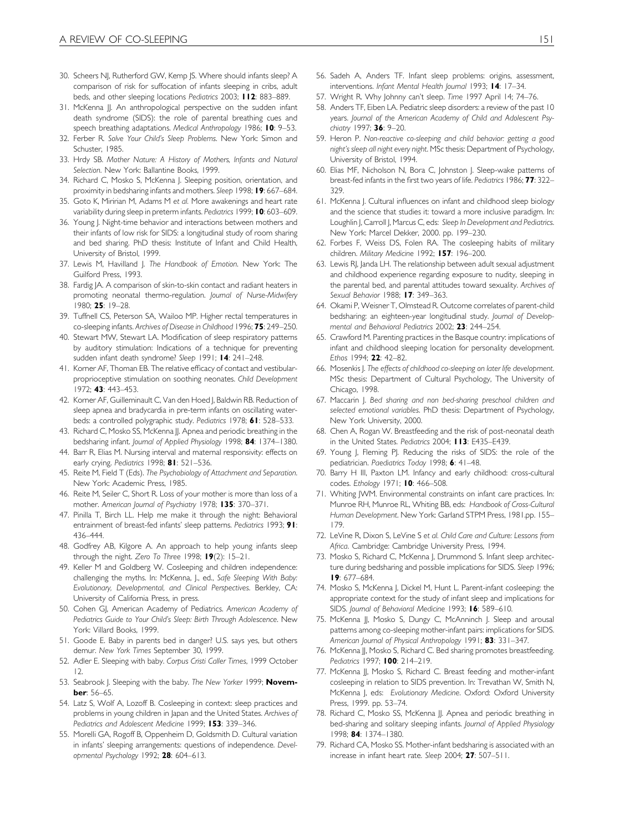- 30. Scheers NJ, Rutherford GW, Kemp JS. Where should infants sleep? A comparison of risk for suffocation of infants sleeping in cribs, adult beds, and other sleeping locations Pediatrics 2003; 112: 883–889.
- 31. McKenna JJ. An anthropological perspective on the sudden infant death syndrome (SIDS): the role of parental breathing cues and speech breathing adaptations. Medical Anthropology 1986: 10: 9-53.
- 32. Ferber R. Solve Your Child's Sleep Problems. New York: Simon and Schuster, 1985.
- 33. Hrdy SB. Mother Nature: A History of Mothers, Infants and Natural Selection. New York: Ballantine Books, 1999.
- 34. Richard C, Mosko S, McKenna J. Sleeping position, orientation, and proximity in bedsharing infants and mothers. Sleep 1998; 19: 667–684.
- 35. Goto K, Miririan M, Adams M et al. More awakenings and heart rate variability during sleep in preterm infants. Pediatrics 1999; 10: 603–609.
- 36. Young J. Night-time behavior and interactions between mothers and their infants of low risk for SIDS: a longitudinal study of room sharing and bed sharing. PhD thesis: Institute of Infant and Child Health, University of Bristol, 1999.
- 37. Lewis M, Havilland J. The Handbook of Emotion. New York: The Guilford Press, 1993.
- 38. Fardig JA. A comparison of skin-to-skin contact and radiant heaters in promoting neonatal thermo-regulation. Journal of Nurse-Midwifery 1980; 25: 19–28.
- 39. Tuffnell CS, Peterson SA, Wailoo MP. Higher rectal temperatures in co-sleeping infants. Archives of Disease in Childhood 1996; 75: 249–250.
- 40. Stewart MW, Stewart LA. Modification of sleep respiratory patterns by auditory stimulation: Indications of a technique for preventing sudden infant death syndrome? Sleep 1991; 14: 241–248.
- 41. Korner AF, Thoman EB. The relative efficacy of contact and vestibularproprioceptive stimulation on soothing neonates. Child Development 1972; 43: 443–453.
- 42. Korner AF, Guilleminault C, Van den Hoed J, Baldwin RB. Reduction of sleep apnea and bradycardia in pre-term infants on oscillating waterbeds: a controlled polygraphic study. Pediatrics 1978; 61: 528-533.
- 43. Richard C, Mosko SS, McKenna JJ. Apnea and periodic breathing in the bedsharing infant. Journal of Applied Physiology 1998; 84: 1374–1380.
- 44. Barr R, Elias M. Nursing interval and maternal responsivity: effects on early crying. Pediatrics 1998; 81: 521-536.
- 45. Reite M, Field T (Eds). The Psychobiology of Attachment and Separation. New York: Academic Press, 1985.
- 46. Reite M, Seiler C, Short R. Loss of your mother is more than loss of a mother. American Journal of Psychiatry 1978; 135: 370-371.
- 47. Pinilla T, Birch LL. Help me make it through the night: Behavioral entrainment of breast-fed infants' sleep patterns. Pediatrics 1993; 91: 436–444.
- 48. Godfrey AB, Kilgore A. An approach to help young infants sleep through the night. Zero To Three 1998; 19(2): 15–21.
- 49. Keller M and Goldberg W. Cosleeping and children independence: challenging the myths. In: McKenna, J., ed., Safe Sleeping With Baby: Evolutionary, Developmental, and Clinical Perspectives. Berkley, CA: University of California Press, in press.
- 50. Cohen GJ, American Academy of Pediatrics. American Academy of Pediatrics Guide to Your Child's Sleep: Birth Through Adolescence. New York: Villard Books, 1999.
- 51. Goode E. Baby in parents bed in danger? U.S. says yes, but others demur. New York Times September 30, 1999.
- 52. Adler E. Sleeping with baby. Corpus Cristi Caller Times, 1999 October 12.
- 53. Seabrook J. Sleeping with the baby. The New Yorker 1999; November: 56–65.
- 54. Latz S, Wolf A, Lozoff B. Cosleeping in context: sleep practices and problems in young children in Japan and the United States. Archives of Pediatrics and Adolescent Medicine 1999; 153: 339-346.
- <span id="page-17-0"></span>55. Morelli GA, Rogoff B, Oppenheim D, Goldsmith D. Cultural variation in infants' sleeping arrangements: questions of independence. Developmental Psychology 1992; 28: 604–613.
- 56. Sadeh A, Anders TF. Infant sleep problems: origins, assessment, interventions. Infant Mental Health Journal 1993: 14: 17-34.
- 57. Wright R. Why Johnny can't sleep. Time 1997 April 14; 74–76.
- 58. Anders TF, Eiben LA. Pediatric sleep disorders: a review of the past 10 years. Journal of the American Academy of Child and Adolescent Psychiatry 1997: 36: 9-20.
- 59. Heron P. Non-reactive co-sleeping and child behavior: getting a good night's sleep all night every night. MSc thesis: Department of Psychology, University of Bristol, 1994.
- 60. Elias MF, Nicholson N, Bora C, Johnston J. Sleep-wake patterns of breast-fed infants in the first two years of life. Pediatrics 1986; 77: 322– 329.
- 61. McKenna J. Cultural influences on infant and childhood sleep biology and the science that studies it: toward a more inclusive paradigm. In: Loughlin J, Carroll J, Marcus C, eds: Sleep In Development and Pediatrics. New York: Marcel Dekker, 2000. pp. 199–230.
- 62. Forbes F, Weiss DS, Folen RA. The cosleeping habits of military children. Military Medicine 1992; 157: 196-200.
- 63. Lewis RJ, Janda LH. The relationship between adult sexual adjustment and childhood experience regarding exposure to nudity, sleeping in the parental bed, and parental attitudes toward sexuality. Archives of Sexual Behavior 1988; 17: 349-363.
- 64. Okami P, Weisner T, Olmstead R. Outcome correlates of parent-child bedsharing: an eighteen-year longitudinal study. Journal of Developmental and Behavioral Pediatrics 2002; 23: 244-254.
- 65. Crawford M. Parenting practices in the Basque country: implications of infant and childhood sleeping location for personality development. Ethos 1994; 22: 42–82.
- 66. Mosenkis J. The effects of childhood co-sleeping on later life development. MSc thesis: Department of Cultural Psychology, The University of Chicago, 1998.
- 67. Maccarin J. Bed sharing and non bed-sharing preschool children and selected emotional variables. PhD thesis: Department of Psychology, New York University, 2000.
- 68. Chen A, Rogan W. Breastfeeding and the risk of post-neonatal death in the United States. Pediatrics 2004; II3: E435-E439.
- 69. Young J, Fleming PJ. Reducing the risks of SIDS: the role of the pediatrician. Paediatrics Today 1998; 6: 41–48.
- 70. Barry H III, Paxton LM. Infancy and early childhood: cross-cultural codes. Ethology 1971; 10: 466–508.
- 71. Whiting JWM. Environmental constraints on infant care practices. In: Munroe RH, Munroe RL, Whiting BB, eds: Handbook of Cross-Cultural Human Development. New York: Garland STPM Press, 1981.pp. 155-179.
- 72. LeVine R, Dixon S, LeVine S et al. Child Care and Culture: Lessons from Africa. Cambridge: Cambridge University Press, 1994.
- 73. Mosko S, Richard C, McKenna J, Drummond S. Infant sleep architecture during bedsharing and possible implications for SIDS. Sleep 1996; 19: 677–684.
- 74. Mosko S, McKenna J, Dickel M, Hunt L. Parent-infant cosleeping: the appropriate context for the study of infant sleep and implications for SIDS. Journal of Behavioral Medicine 1993; 16: 589-610.
- 75. McKenna JJ, Mosko S, Dungy C, McAnninch J. Sleep and arousal patterns among co-sleeping mother-infant pairs: implications for SIDS. American Journal of Physical Anthropology 1991; 83: 331-347.
- 76. McKenna JJ, Mosko S, Richard C. Bed sharing promotes breastfeeding. Pediatrics 1997; 100: 214-219.
- 77. McKenna JJ, Mosko S, Richard C. Breast feeding and mother-infant cosleeping in relation to SIDS prevention. In: Trevathan W, Smith N, McKenna J, eds: Evolutionary Medicine. Oxford: Oxford University Press, 1999. pp. 53–74.
- 78. Richard C, Mosko SS, McKenna JJ. Apnea and periodic breathing in bed-sharing and solitary sleeping infants. Journal of Applied Physiology 1998; 84: 1374–1380.
- 79. Richard CA, Mosko SS. Mother-infant bedsharing is associated with an increase in infant heart rate. Sleep 2004; 27: 507–511.